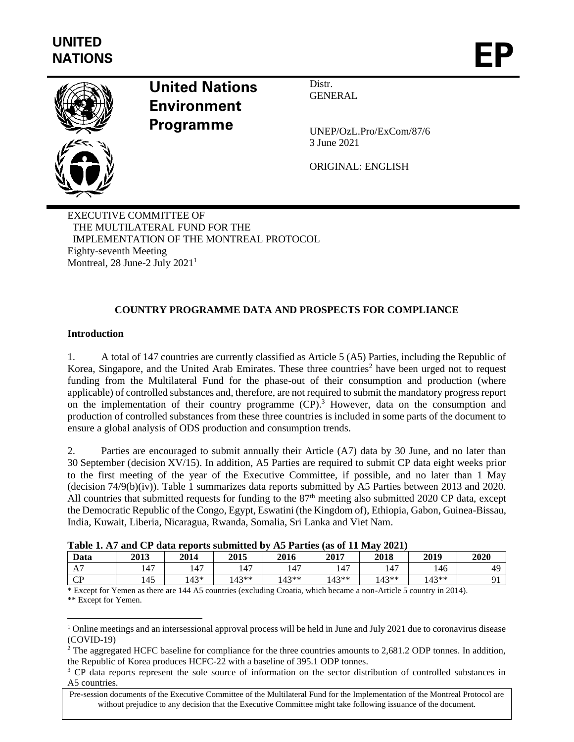

# **United Nations Environment Programme**

Distr. GENERAL

UNEP/OzL.Pro/ExCom/87/6 3 June 2021

ORIGINAL: ENGLISH

EXECUTIVE COMMITTEE OF THE MULTILATERAL FUND FOR THE IMPLEMENTATION OF THE MONTREAL PROTOCOL Eighty-seventh Meeting Montreal, 28 June-2 July 2021<sup>1</sup>

## **COUNTRY PROGRAMME DATA AND PROSPECTS FOR COMPLIANCE**

#### **Introduction**

1. A total of 147 countries are currently classified as Article 5 (A5) Parties, including the Republic of Korea, Singapore, and the United Arab Emirates. These three countries<sup>2</sup> have been urged not to request funding from the Multilateral Fund for the phase-out of their consumption and production (where applicable) of controlled substances and, therefore, are not required to submit the mandatory progress report on the implementation of their country programme  $(CP)$ .<sup>3</sup> However, data on the consumption and production of controlled substances from these three countries is included in some parts of the document to ensure a global analysis of ODS production and consumption trends.

2. Parties are encouraged to submit annually their Article (A7) data by 30 June, and no later than 30 September (decision XV/15). In addition, A5 Parties are required to submit CP data eight weeks prior to the first meeting of the year of the Executive Committee, if possible, and no later than 1 May (decision 74/9(b)(iv)). Table 1 summarizes data reports submitted by A5 Parties between 2013 and 2020. All countries that submitted requests for funding to the  $87<sup>th</sup>$  meeting also submitted 2020 CP data, except the Democratic Republic of the Congo, Egypt, Eswatini (the Kingdom of), Ethiopia, Gabon, Guinea-Bissau, India, Kuwait, Liberia, Nicaragua, Rwanda, Somalia, Sri Lanka and Viet Nam.

| <b>Table 1. A/ and CI data reports submitted by A3 I arties (as of 11 May 2021)</b> |      |      |       |       |       |       |       |      |  |  |
|-------------------------------------------------------------------------------------|------|------|-------|-------|-------|-------|-------|------|--|--|
| Data                                                                                | 2013 | 2014 | 2015  | 2016  | 2017  | 2018  | 2019  | 2020 |  |  |
| A7                                                                                  | 147  | 147  | 147   | 147   | .47   | 147   | 146   | 49   |  |  |
| CP                                                                                  | 145  | 143* | 143** | 143** | 143** | 143** | 143** |      |  |  |

|  | Table 1. A7 and CP data reports submitted by A5 Parties (as of 11 May 2021) |  |  |
|--|-----------------------------------------------------------------------------|--|--|
|  |                                                                             |  |  |

\* Except for Yemen as there are 144 A5 countries (excluding Croatia, which became a non-Article 5 country in 2014). \*\* Except for Yemen.

<sup>&</sup>lt;sup>1</sup> Online meetings and an intersessional approval process will be held in June and July 2021 due to coronavirus disease (COVID-19)

<sup>&</sup>lt;sup>2</sup> The aggregated HCFC baseline for compliance for the three countries amounts to 2,681.2 ODP tonnes. In addition, the Republic of Korea produces HCFC-22 with a baseline of 395.1 ODP tonnes.

<sup>&</sup>lt;sup>3</sup> CP data reports represent the sole source of information on the sector distribution of controlled substances in A5 countries.

Pre-session documents of the Executive Committee of the Multilateral Fund for the Implementation of the Montreal Protocol are without prejudice to any decision that the Executive Committee might take following issuance of the document.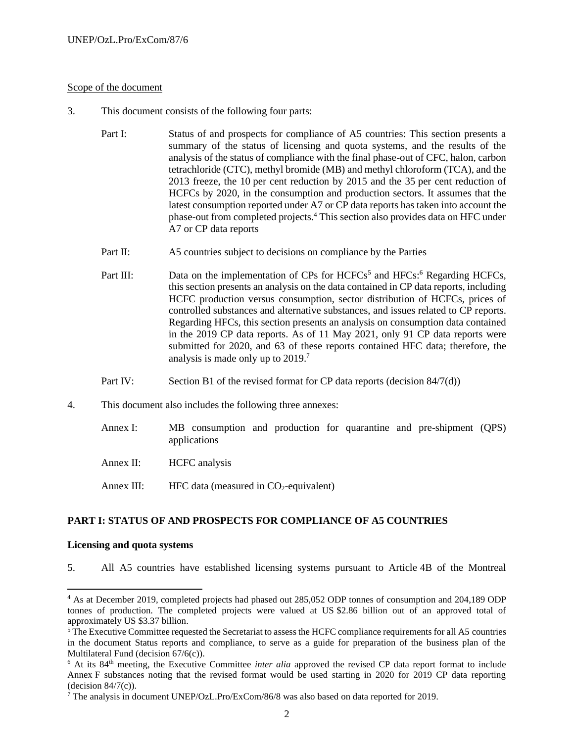#### Scope of the document

- 3. This document consists of the following four parts:
	- Part I: Status of and prospects for compliance of A5 countries: This section presents a summary of the status of licensing and quota systems, and the results of the analysis of the status of compliance with the final phase-out of CFC, halon, carbon tetrachloride (CTC), methyl bromide (MB) and methyl chloroform (TCA), and the 2013 freeze, the 10 per cent reduction by 2015 and the 35 per cent reduction of HCFCs by 2020, in the consumption and production sectors. It assumes that the latest consumption reported under A7 or CP data reports has taken into account the phase-out from completed projects.<sup>4</sup> This section also provides data on HFC under A7 or CP data reports
	- Part II: A5 countries subject to decisions on compliance by the Parties
	- Part III: Data on the implementation of CPs for  $HCFCs^5$  and  $HFCs$ <sup>5</sup>. Regarding  $HCFCs$ , this section presents an analysis on the data contained in CP data reports, including HCFC production versus consumption, sector distribution of HCFCs, prices of controlled substances and alternative substances, and issues related to CP reports. Regarding HFCs, this section presents an analysis on consumption data contained in the 2019 CP data reports. As of 11 May 2021, only 91 CP data reports were submitted for 2020, and 63 of these reports contained HFC data; therefore, the analysis is made only up to 2019. 7
	- Part IV: Section B1 of the revised format for CP data reports (decision 84/7(d))
- 4. This document also includes the following three annexes:
	- Annex I: MB consumption and production for quarantine and pre-shipment (QPS) applications
	- Annex II: HCFC analysis
	- Annex III: HFC data (measured in  $CO<sub>2</sub>$ -equivalent)

#### **PART I: STATUS OF AND PROSPECTS FOR COMPLIANCE OF A5 COUNTRIES**

#### **Licensing and quota systems**

5. All A5 countries have established licensing systems pursuant to Article 4B of the Montreal

<sup>4</sup> As at December 2019, completed projects had phased out 285,052 ODP tonnes of consumption and 204,189 ODP tonnes of production. The completed projects were valued at US \$2.86 billion out of an approved total of approximately US \$3.37 billion.

<sup>5</sup> The Executive Committee requested the Secretariat to assess the HCFC compliance requirements for all A5 countries in the document Status reports and compliance, to serve as a guide for preparation of the business plan of the Multilateral Fund (decision 67/6(c)).

<sup>&</sup>lt;sup>6</sup> At its 84<sup>th</sup> meeting, the Executive Committee *inter alia* approved the revised CP data report format to include Annex F substances noting that the revised format would be used starting in 2020 for 2019 CP data reporting  $-decision 84/7(c)$ ).

<sup>7</sup> The analysis in document UNEP/OzL.Pro/ExCom/86/8 was also based on data reported for 2019.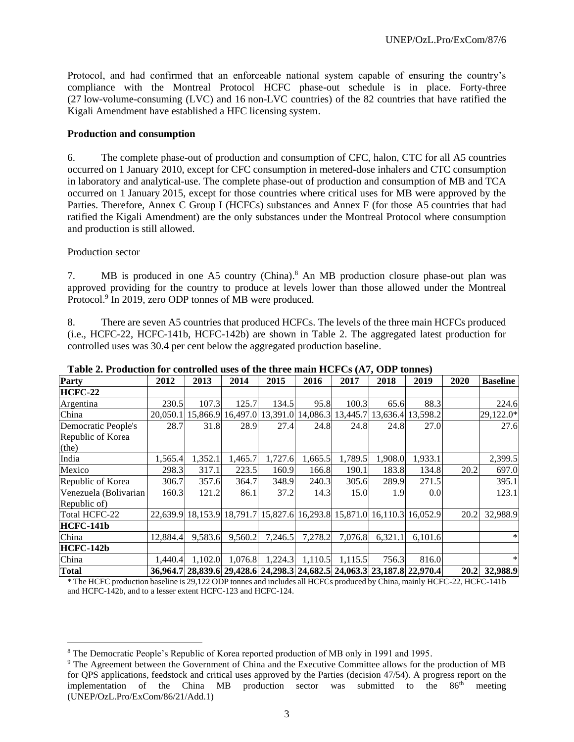Protocol, and had confirmed that an enforceable national system capable of ensuring the country's compliance with the Montreal Protocol HCFC phase-out schedule is in place. Forty-three (27 low-volume-consuming (LVC) and 16 non-LVC countries) of the 82 countries that have ratified the Kigali Amendment have established a HFC licensing system.

#### **Production and consumption**

6. The complete phase-out of production and consumption of CFC, halon, CTC for all A5 countries occurred on 1 January 2010, except for CFC consumption in metered-dose inhalers and CTC consumption in laboratory and analytical-use. The complete phase-out of production and consumption of MB and TCA occurred on 1 January 2015, except for those countries where critical uses for MB were approved by the Parties. Therefore, Annex C Group I (HCFCs) substances and Annex F (for those A5 countries that had ratified the Kigali Amendment) are the only substances under the Montreal Protocol where consumption and production is still allowed.

#### Production sector

7. MB is produced in one A5 country (China).<sup>8</sup> An MB production closure phase-out plan was approved providing for the country to produce at levels lower than those allowed under the Montreal Protocol.<sup>9</sup> In 2019, zero ODP tonnes of MB were produced.

8. There are seven A5 countries that produced HCFCs. The levels of the three main HCFCs produced (i.e., HCFC-22, HCFC-141b, HCFC-142b) are shown in Table 2. The aggregated latest production for controlled uses was 30.4 per cent below the aggregated production baseline.

| Party                 | 2012     | 2013     | 2014                                                                    | 2015    | 2016                                         | 2017    | 2018    | 2019    | 2020 | <b>Baseline</b> |
|-----------------------|----------|----------|-------------------------------------------------------------------------|---------|----------------------------------------------|---------|---------|---------|------|-----------------|
| <b>HCFC-22</b>        |          |          |                                                                         |         |                                              |         |         |         |      |                 |
| Argentina             | 230.5    | 107.3    | 125.7                                                                   | 134.5   | 95.8                                         | 100.3   | 65.6    | 88.3    |      | 224.6           |
| China                 | 20.050.1 | 15,866.9 | 16,497.0                                                                |         | 13,391.0 14,086.3 13,445.7 13,636.4 13,598.2 |         |         |         |      | 29,122.0*       |
| Democratic People's   | 28.7     | 31.8     | 28.9                                                                    | 27.4    | 24.8                                         | 24.8    | 24.8    | 27.0    |      | 27.6            |
| Republic of Korea     |          |          |                                                                         |         |                                              |         |         |         |      |                 |
| (the)                 |          |          |                                                                         |         |                                              |         |         |         |      |                 |
| India                 | 1,565.4  | 1,352.1  | 1,465.7                                                                 | 1,727.6 | 1,665.5                                      | 1,789.5 | 1,908.0 | 1,933.1 |      | 2,399.5         |
| Mexico                | 298.3    | 317.1    | 223.5                                                                   | 160.9   | 166.8                                        | 190.1   | 183.8   | 134.8   | 20.2 | 697.0           |
| Republic of Korea     | 306.7    | 357.6    | 364.7                                                                   | 348.9   | 240.3                                        | 305.6   | 289.9   | 271.5   |      | 395.1           |
| Venezuela (Bolivarian | 160.3    | 121.2    | 86.1                                                                    | 37.2    | 14.3                                         | 15.0    | 1.9     | 0.0     |      | 123.1           |
| Republic of)          |          |          |                                                                         |         |                                              |         |         |         |      |                 |
| <b>Total HCFC-22</b>  |          |          | 22,639.9 18,153.9 18,791.7 15,827.6 16,293.8 15,871.0 16,110.3 16,052.9 |         |                                              |         |         |         | 20.2 | 32,988.9        |
| HCFC-141b             |          |          |                                                                         |         |                                              |         |         |         |      |                 |
| China                 | 12,884.4 | 9,583.6  | 9,560.2                                                                 | 7,246.5 | 7,278.2                                      | 7,076.8 | 6.321.1 | 6.101.6 |      | *               |
| HCFC-142b             |          |          |                                                                         |         |                                              |         |         |         |      |                 |
| China                 | 1.440.4  | 1,102.0  | 1,076.8                                                                 | 1,224.3 | 1,110.5                                      | 1,115.5 | 756.3   | 816.0   |      | *               |
| <b>Total</b>          |          |          | 36,964.7 28,839.6 29,428.6 24,298.3 24,682.5 24,063.3 23,187.8 22,970.4 |         |                                              |         |         |         | 20.2 | 32,988.9        |

**Table 2. Production for controlled uses of the three main HCFCs (A7, ODP tonnes)**

\* The HCFC production baseline is 29,122 ODP tonnes and includes all HCFCs produced by China, mainly HCFC-22, HCFC-141b and HCFC-142b, and to a lesser extent HCFC-123 and HCFC-124.

<sup>8</sup> The Democratic People's Republic of Korea reported production of MB only in 1991 and 1995.

<sup>9</sup> The Agreement between the Government of China and the Executive Committee allows for the production of MB for QPS applications, feedstock and critical uses approved by the Parties (decision 47/54). A progress report on the implementation of the China MB production sector was submitted to the  $86<sup>th</sup>$  meeting (UNEP/OzL.Pro/ExCom/86/21/Add.1)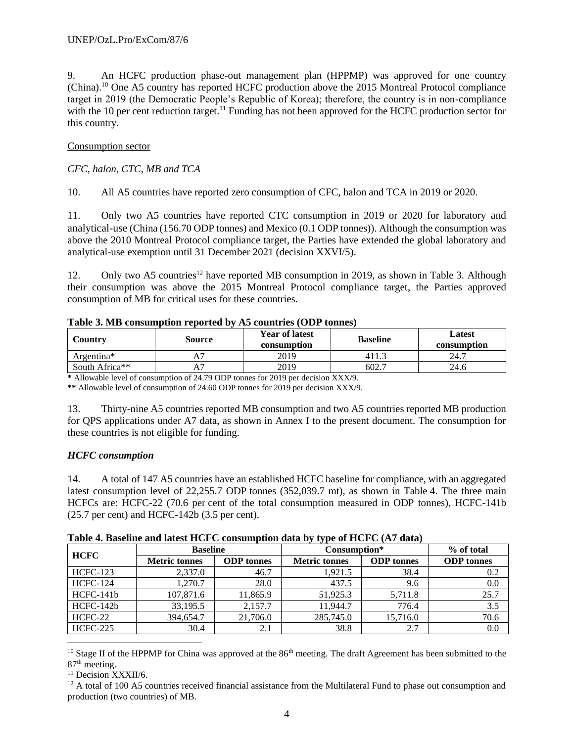9. An HCFC production phase-out management plan (HPPMP) was approved for one country (China).<sup>10</sup> One A5 country has reported HCFC production above the 2015 Montreal Protocol compliance target in 2019 (the Democratic People's Republic of Korea); therefore, the country is in non-compliance with the 10 per cent reduction target.<sup>11</sup> Funding has not been approved for the HCFC production sector for this country.

#### Consumption sector

#### *CFC, halon, CTC, MB and TCA*

10. All A5 countries have reported zero consumption of CFC, halon and TCA in 2019 or 2020.

11. Only two A5 countries have reported CTC consumption in 2019 or 2020 for laboratory and analytical-use (China (156.70 ODP tonnes) and Mexico (0.1 ODP tonnes)). Although the consumption was above the 2010 Montreal Protocol compliance target, the Parties have extended the global laboratory and analytical-use exemption until 31 December 2021 (decision XXVI/5).

12. Only two A5 countries<sup>12</sup> have reported MB consumption in 2019, as shown in Table 3. Although their consumption was above the 2015 Montreal Protocol compliance target, the Parties approved consumption of MB for critical uses for these countries.

|            | <b>Table 3. MD Consumption reported by A5 Countries (ODF tomes)</b> |                                      |                 |                       |  |  |  |  |  |  |  |
|------------|---------------------------------------------------------------------|--------------------------------------|-----------------|-----------------------|--|--|--|--|--|--|--|
| Countrv    | Source                                                              | <b>Year of latest</b><br>consumption | <b>Baseline</b> | Latest<br>consumption |  |  |  |  |  |  |  |
| Argentina* |                                                                     | 2019                                 | 411.3           | 24.7                  |  |  |  |  |  |  |  |

South Africa<sup>\*\*</sup> **A7** A7 2019 602.7 24.6

## **Table 3. MB consumption reported by A5 countries (ODP tonnes)**

**\*** Allowable level of consumption of 24.79 ODP tonnes for 2019 per decision XXX/9.

**\*\*** Allowable level of consumption of 24.60 ODP tonnes for 2019 per decision XXX/9.

13. Thirty-nine A5 countries reported MB consumption and two A5 countries reported MB production for QPS applications under A7 data, as shown in Annex I to the present document. The consumption for these countries is not eligible for funding.

## *HCFC consumption*

14. A total of 147 A5 countries have an established HCFC baseline for compliance, with an aggregated latest consumption level of 22,255.7 ODP tonnes (352,039.7 mt), as shown in Table 4. The three main HCFCs are: HCFC-22 (70.6 per cent of the total consumption measured in ODP tonnes), HCFC-141b (25.7 per cent) and HCFC-142b (3.5 per cent).

**Table 4. Baseline and latest HCFC consumption data by type of HCFC (A7 data)**

| <b>HCFC</b>     | <b>Baseline</b>      |                   | Consumption*         | % of total        |                   |
|-----------------|----------------------|-------------------|----------------------|-------------------|-------------------|
|                 | <b>Metric tonnes</b> | <b>ODP</b> tonnes | <b>Metric tonnes</b> | <b>ODP</b> tonnes | <b>ODP</b> tonnes |
| <b>HCFC-123</b> | 2,337.0              | 46.7              | 1,921.5              | 38.4              | 0.2               |
| <b>HCFC-124</b> | 1,270.7              | 28.0              | 437.5                | 9.6               | 0.0               |
| HCFC-141b       | 107,871.6            | 11,865.9          | 51,925.3             | 5,711.8           | 25.7              |
| HCFC-142b       | 33,195.5             | 2,157.7           | 11.944.7             | 776.4             | 3.5               |
| HCFC-22         | 394,654.7            | 21,706.0          | 285,745.0            | 15,716.0          | 70.6              |
| <b>HCFC-225</b> | 30.4                 | 2.1               | 38.8                 | 2.7               | 0.0               |

<sup>10</sup> Stage II of the HPPMP for China was approved at the  $86<sup>th</sup>$  meeting. The draft Agreement has been submitted to the 87<sup>th</sup> meeting.

<sup>11</sup> Decision XXXII/6.

 $12$  A total of 100 A5 countries received financial assistance from the Multilateral Fund to phase out consumption and production (two countries) of MB.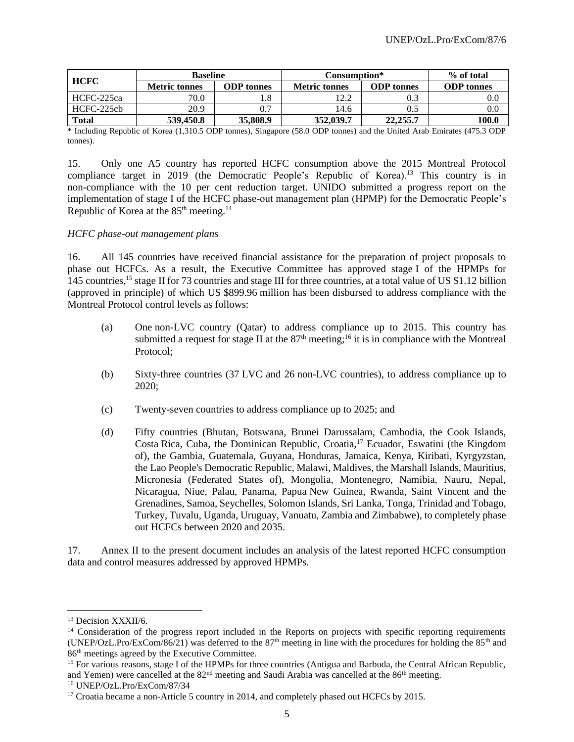| <b>HCFC</b>  | <b>Baseline</b>      |                   |                      | Consumption*      |                   |  |  |
|--------------|----------------------|-------------------|----------------------|-------------------|-------------------|--|--|
|              | <b>Metric tonnes</b> | <b>ODP</b> tonnes | <b>Metric tonnes</b> | <b>ODP</b> tonnes | <b>ODP</b> tonnes |  |  |
| HCFC-225ca   | 70.0                 | 1.8               | 1 າົາ<br>.           | 0.3               | $_{\rm 0.0}$      |  |  |
| HCFC-225cb   | 20.9                 | 0.7               | 14.6                 | 0.5               | $0.0\,$           |  |  |
| <b>Total</b> | 539,450.8            | 35,808.9          | 352,039.7            | 22,255.7          | 100.0             |  |  |

\* Including Republic of Korea (1,310.5 ODP tonnes), Singapore (58.0 ODP tonnes) and the United Arab Emirates (475.3 ODP tonnes).

15. Only one A5 country has reported HCFC consumption above the 2015 Montreal Protocol compliance target in 2019 (the Democratic People's Republic of Korea).<sup>13</sup> This country is in non-compliance with the 10 per cent reduction target. UNIDO submitted a progress report on the implementation of stage I of the HCFC phase-out management plan (HPMP) for the Democratic People's Republic of Korea at the  $85<sup>th</sup>$  meeting.<sup>14</sup>

#### *HCFC phase-out management plans*

16. All 145 countries have received financial assistance for the preparation of project proposals to phase out HCFCs. As a result, the Executive Committee has approved stage I of the HPMPs for 145 countries,<sup>15</sup> stage II for 73 countries and stage III for three countries, at a total value of US \$1.12 billion (approved in principle) of which US \$899.96 million has been disbursed to address compliance with the Montreal Protocol control levels as follows:

- (a) One non-LVC country (Qatar) to address compliance up to 2015. This country has submitted a request for stage II at the  $87<sup>th</sup>$  meeting;<sup>16</sup> it is in compliance with the Montreal Protocol;
- (b) Sixty-three countries (37 LVC and 26 non-LVC countries), to address compliance up to 2020;
- (c) Twenty-seven countries to address compliance up to 2025; and
- (d) Fifty countries (Bhutan, Botswana, Brunei Darussalam, Cambodia, the Cook Islands, Costa Rica, Cuba, the Dominican Republic, Croatia,<sup>17</sup> Ecuador, Eswatini (the Kingdom of), the Gambia, Guatemala, Guyana, Honduras, Jamaica, Kenya, Kiribati, Kyrgyzstan, the Lao People's Democratic Republic, Malawi, Maldives, the Marshall Islands, Mauritius, Micronesia (Federated States of), Mongolia, Montenegro, Namibia, Nauru, Nepal, Nicaragua, Niue, Palau, Panama, Papua New Guinea, Rwanda, Saint Vincent and the Grenadines, Samoa, Seychelles, Solomon Islands, Sri Lanka, Tonga, Trinidad and Tobago, Turkey, Tuvalu, Uganda, Uruguay, Vanuatu, Zambia and Zimbabwe), to completely phase out HCFCs between 2020 and 2035.

17. Annex II to the present document includes an analysis of the latest reported HCFC consumption data and control measures addressed by approved HPMPs.

<sup>&</sup>lt;sup>13</sup> Decision XXXII/6.

<sup>&</sup>lt;sup>14</sup> Consideration of the progress report included in the Reports on projects with specific reporting requirements (UNEP/OzL.Pro/ExCom/86/21) was deferred to the 87<sup>th</sup> meeting in line with the procedures for holding the 85<sup>th</sup> and 86th meetings agreed by the Executive Committee.

<sup>&</sup>lt;sup>15</sup> For various reasons, stage I of the HPMPs for three countries (Antigua and Barbuda, the Central African Republic, and Yemen) were cancelled at the  $82<sup>nd</sup>$  meeting and Saudi Arabia was cancelled at the  $86<sup>th</sup>$  meeting.

<sup>16</sup> UNEP/OzL.Pro/ExCom/87/34

<sup>&</sup>lt;sup>17</sup> Croatia became a non-Article 5 country in 2014, and completely phased out HCFCs by 2015.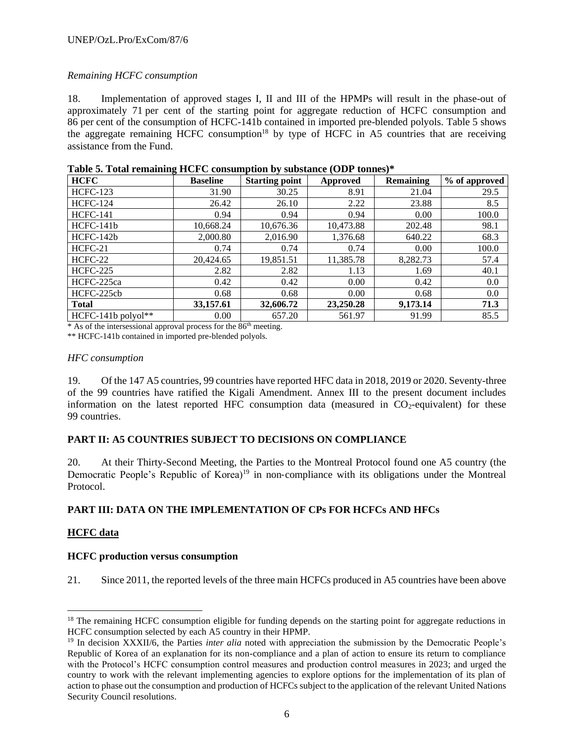## *Remaining HCFC consumption*

18. Implementation of approved stages I, II and III of the HPMPs will result in the phase-out of approximately 71 per cent of the starting point for aggregate reduction of HCFC consumption and 86 per cent of the consumption of HCFC-141b contained in imported pre-blended polyols. Table 5 shows the aggregate remaining HCFC consumption<sup>18</sup> by type of HCFC in A5 countries that are receiving assistance from the Fund.

| <b>HCFC</b>        | <b>Baseline</b>  | <b>Starting point</b> | Approved  | <b>Remaining</b> | % of approved |
|--------------------|------------------|-----------------------|-----------|------------------|---------------|
| <b>HCFC-123</b>    | 31.90            | 30.25                 | 8.91      | 21.04            | 29.5          |
| <b>HCFC-124</b>    | 26.42            | 26.10                 | 2.22      | 23.88            | 8.5           |
| <b>HCFC-141</b>    | 0.94             | 0.94                  | 0.94      | 0.00             | 100.0         |
| HCFC-141b          | 10,668.24        | 10,676.36             | 10,473.88 | 202.48           | 98.1          |
| HCFC-142b          | 2,000.80         | 2,016.90              | 1,376.68  | 640.22           | 68.3          |
| $HCFC-21$          | 0.74             | 0.74                  | 0.74      | 0.00             | 100.0         |
| HCFC-22            | 20,424.65        | 19,851.51             | 11,385.78 | 8,282.73         | 57.4          |
| <b>HCFC-225</b>    | 2.82             | 2.82                  | 1.13      | 1.69             | 40.1          |
| HCFC-225ca         | 0.42             | 0.42                  | 0.00      | 0.42             | 0.0           |
| HCFC-225cb         | 0.68             | 0.68                  | 0.00      | 0.68             | 0.0           |
| <b>Total</b>       | 33,157.61        | 32,606.72             | 23,250.28 | 9,173.14         | 71.3          |
| HCFC-141b polyol** | 0.00<br>المصادرة | 657.20                | 561.97    | 91.99            | 85.5          |

\* As of the intersessional approval process for the 86th meeting.

\*\* HCFC-141b contained in imported pre-blended polyols.

#### *HFC consumption*

19. Of the 147 A5 countries, 99 countries have reported HFC data in 2018, 2019 or 2020. Seventy-three of the 99 countries have ratified the Kigali Amendment. Annex III to the present document includes information on the latest reported HFC consumption data (measured in  $CO<sub>2</sub>$ -equivalent) for these 99 countries.

## **PART II: A5 COUNTRIES SUBJECT TO DECISIONS ON COMPLIANCE**

20. At their Thirty-Second Meeting, the Parties to the Montreal Protocol found one A5 country (the Democratic People's Republic of Korea)<sup>19</sup> in non-compliance with its obligations under the Montreal Protocol.

## **PART III: DATA ON THE IMPLEMENTATION OF CPs FOR HCFCs AND HFCs**

## **HCFC data**

## **HCFC production versus consumption**

21. Since 2011, the reported levels of the three main HCFCs produced in A5 countries have been above

<sup>&</sup>lt;sup>18</sup> The remaining HCFC consumption eligible for funding depends on the starting point for aggregate reductions in HCFC consumption selected by each A5 country in their HPMP.

<sup>&</sup>lt;sup>19</sup> In decision XXXII/6, the Parties *inter alia* noted with appreciation the submission by the Democratic People's Republic of Korea of an explanation for its non-compliance and a plan of action to ensure its return to compliance with the Protocol's HCFC consumption control measures and production control measures in 2023; and urged the country to work with the relevant implementing agencies to explore options for the implementation of its plan of action to phase out the consumption and production of HCFCs subject to the application of the relevant United Nations Security Council resolutions.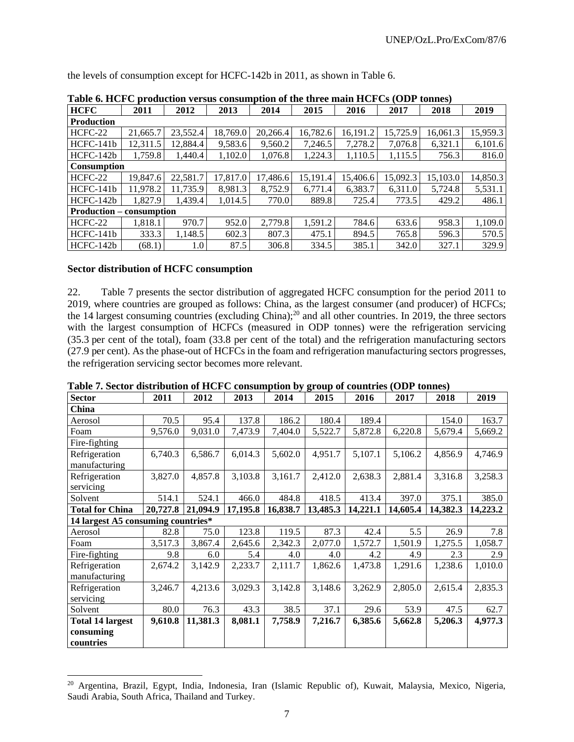the levels of consumption except for HCFC-142b in 2011, as shown in Table 6.

| Table of HCI C production versus consumption of the three main HCI Cs (ODT tomacs) |          |          |          |          |          |          |          |          |          |
|------------------------------------------------------------------------------------|----------|----------|----------|----------|----------|----------|----------|----------|----------|
| <b>HCFC</b>                                                                        | 2011     | 2012     | 2013     | 2014     | 2015     | 2016     | 2017     | 2018     | 2019     |
| <b>Production</b>                                                                  |          |          |          |          |          |          |          |          |          |
| HCFC-22                                                                            | 21,665.7 | 23,552.4 | 18,769.0 | 20,266.4 | 16,782.6 | 16,191.2 | 15,725.9 | 16,061.3 | 15,959.3 |
| $HCFC-141b$                                                                        | 12,311.5 | 12,884.4 | 9.583.6  | 9,560.2  | 7,246.5  | 7,278.2  | 7,076.8  | 6,321.1  | 6,101.6  |
| $HCFC-142b$                                                                        | 1,759.8  | 1,440.4  | 1,102.0  | 1,076.8  | 1,224.3  | 1,110.5  | 1,115.5  | 756.3    | 816.0    |
| <b>Consumption</b>                                                                 |          |          |          |          |          |          |          |          |          |
| HCFC-22                                                                            | 19.847.6 | 22,581.7 | 17,817.0 | 17,486.6 | 15,191.4 | 15,406.6 | 15,092.3 | 15,103.0 | 14,850.3 |
| HCFC-141b                                                                          | 11,978.2 | 11.735.9 | 8.981.3  | 8.752.9  | 6,771.4  | 6,383.7  | 6,311.0  | 5.724.8  | 5,531.1  |
| $HCFC-142b$                                                                        | 1.827.9  | 1.439.4  | 1.014.5  | 770.0    | 889.8    | 725.4    | 773.5    | 429.2    | 486.1    |
| <b>Production – consumption</b>                                                    |          |          |          |          |          |          |          |          |          |
| HCFC-22                                                                            | 1,818.1  | 970.7    | 952.0    | 2,779.8  | 1,591.2  | 784.6    | 633.6    | 958.3    | 1,109.0  |
| $HCFC-141b$                                                                        | 333.3    | 1.148.5  | 602.3    | 807.3    | 475.1    | 894.5    | 765.8    | 596.3    | 570.5    |
| $HCFC-142b$                                                                        | (68.1)   | 1.0      | 87.5     | 306.8    | 334.5    | 385.1    | 342.0    | 327.1    | 329.9    |

**Table 6. HCFC production versus consumption of the three main HCFCs (ODP tonnes)**

#### **Sector distribution of HCFC consumption**

22. Table 7 presents the sector distribution of aggregated HCFC consumption for the period 2011 to 2019, where countries are grouped as follows: China, as the largest consumer (and producer) of HCFCs; the 14 largest consuming countries (excluding China);<sup>20</sup> and all other countries. In 2019, the three sectors with the largest consumption of HCFCs (measured in ODP tonnes) were the refrigeration servicing (35.3 per cent of the total), foam (33.8 per cent of the total) and the refrigeration manufacturing sectors (27.9 per cent). As the phase-out of HCFCs in the foam and refrigeration manufacturing sectors progresses, the refrigeration servicing sector becomes more relevant.

| <b>Sector</b>                      | 2011     | 2012     | 2013     | 2014     | 2015     | 2016     | 2017     | 2018     | 2019     |
|------------------------------------|----------|----------|----------|----------|----------|----------|----------|----------|----------|
| China                              |          |          |          |          |          |          |          |          |          |
| Aerosol                            | 70.5     | 95.4     | 137.8    | 186.2    | 180.4    | 189.4    |          | 154.0    | 163.7    |
| Foam                               | 9,576.0  | 9,031.0  | 7,473.9  | 7,404.0  | 5,522.7  | 5,872.8  | 6,220.8  | 5,679.4  | 5,669.2  |
| Fire-fighting                      |          |          |          |          |          |          |          |          |          |
| Refrigeration<br>manufacturing     | 6,740.3  | 6,586.7  | 6,014.3  | 5,602.0  | 4,951.7  | 5,107.1  | 5,106.2  | 4,856.9  | 4,746.9  |
| Refrigeration                      | 3,827.0  | 4,857.8  | 3,103.8  | 3,161.7  | 2,412.0  | 2,638.3  | 2,881.4  | 3,316.8  | 3,258.3  |
| servicing                          |          |          |          |          |          |          |          |          |          |
| Solvent                            | 514.1    | 524.1    | 466.0    | 484.8    | 418.5    | 413.4    | 397.0    | 375.1    | 385.0    |
| <b>Total for China</b>             | 20,727.8 | 21,094.9 | 17,195.8 | 16,838.7 | 13,485.3 | 14,221.1 | 14,605.4 | 14,382.3 | 14,223.2 |
| 14 largest A5 consuming countries* |          |          |          |          |          |          |          |          |          |
| Aerosol                            | 82.8     | 75.0     | 123.8    | 119.5    | 87.3     | 42.4     | 5.5      | 26.9     | 7.8      |
| Foam                               | 3,517.3  | 3,867.4  | 2,645.6  | 2,342.3  | 2,077.0  | 1,572.7  | 1,501.9  | 1,275.5  | 1,058.7  |
| Fire-fighting                      | 9.8      | 6.0      | 5.4      | 4.0      | 4.0      | 4.2      | 4.9      | 2.3      | 2.9      |
| Refrigeration<br>manufacturing     | 2,674.2  | 3,142.9  | 2,233.7  | 2,111.7  | 1,862.6  | 1,473.8  | 1,291.6  | 1,238.6  | 1,010.0  |
| Refrigeration<br>servicing         | 3,246.7  | 4,213.6  | 3,029.3  | 3,142.8  | 3,148.6  | 3,262.9  | 2,805.0  | 2,615.4  | 2,835.3  |
| Solvent                            | 80.0     | 76.3     | 43.3     | 38.5     | 37.1     | 29.6     | 53.9     | 47.5     | 62.7     |
| <b>Total 14 largest</b>            | 9,610.8  | 11,381.3 | 8,081.1  | 7,758.9  | 7,216.7  | 6,385.6  | 5,662.8  | 5,206.3  | 4,977.3  |
| consuming                          |          |          |          |          |          |          |          |          |          |
| countries                          |          |          |          |          |          |          |          |          |          |

**Table 7. Sector distribution of HCFC consumption by group of countries (ODP tonnes)**

<sup>20</sup> Argentina, Brazil, Egypt, India, Indonesia, Iran (Islamic Republic of), Kuwait, Malaysia, Mexico, Nigeria, Saudi Arabia, South Africa, Thailand and Turkey.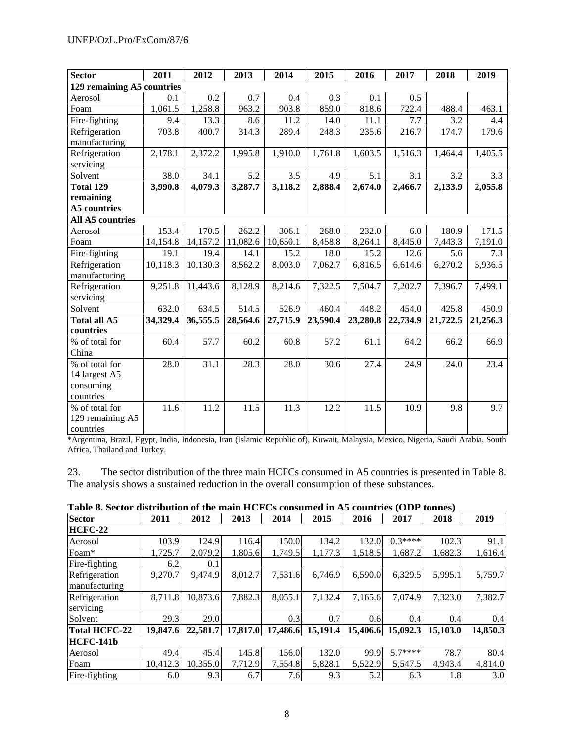| Sector                     | 2011     | 2012     | 2013     | 2014     | 2015     | 2016     | 2017     | 2018     | 2019     |
|----------------------------|----------|----------|----------|----------|----------|----------|----------|----------|----------|
| 129 remaining A5 countries |          |          |          |          |          |          |          |          |          |
| Aerosol                    | 0.1      | 0.2      | 0.7      | 0.4      | 0.3      | 0.1      | 0.5      |          |          |
| Foam                       | 1,061.5  | 1,258.8  | 963.2    | 903.8    | 859.0    | 818.6    | 722.4    | 488.4    | 463.1    |
| Fire-fighting              | 9.4      | 13.3     | 8.6      | 11.2     | 14.0     | 11.1     | 7.7      | 3.2      | 4.4      |
| Refrigeration              | 703.8    | 400.7    | 314.3    | 289.4    | 248.3    | 235.6    | 216.7    | 174.7    | 179.6    |
| manufacturing              |          |          |          |          |          |          |          |          |          |
| Refrigeration              | 2,178.1  | 2,372.2  | 1,995.8  | 1,910.0  | 1,761.8  | 1,603.5  | 1,516.3  | 1,464.4  | 1,405.5  |
| servicing                  |          |          |          |          |          |          |          |          |          |
| Solvent                    | 38.0     | 34.1     | 5.2      | 3.5      | 4.9      | 5.1      | 3.1      | 3.2      | 3.3      |
| Total 129                  | 3,990.8  | 4,079.3  | 3,287.7  | 3,118.2  | 2,888.4  | 2,674.0  | 2,466.7  | 2,133.9  | 2,055.8  |
| remaining                  |          |          |          |          |          |          |          |          |          |
| <b>A5</b> countries        |          |          |          |          |          |          |          |          |          |
| All A5 countries           |          |          |          |          |          |          |          |          |          |
| Aerosol                    | 153.4    | 170.5    | 262.2    | 306.1    | 268.0    | 232.0    | 6.0      | 180.9    | 171.5    |
| Foam                       | 14,154.8 | 14,157.2 | 11,082.6 | 10,650.1 | 8,458.8  | 8,264.1  | 8,445.0  | 7,443.3  | 7,191.0  |
| Fire-fighting              | 19.1     | 19.4     | 14.1     | 15.2     | 18.0     | 15.2     | 12.6     | 5.6      | 7.3      |
| Refrigeration              | 10,118.3 | 10,130.3 | 8,562.2  | 8,003.0  | 7,062.7  | 6,816.5  | 6,614.6  | 6,270.2  | 5,936.5  |
| manufacturing              |          |          |          |          |          |          |          |          |          |
| Refrigeration              | 9,251.8  | 11,443.6 | 8,128.9  | 8,214.6  | 7,322.5  | 7,504.7  | 7,202.7  | 7,396.7  | 7,499.1  |
| servicing                  |          |          |          |          |          |          |          |          |          |
| Solvent                    | 632.0    | 634.5    | 514.5    | 526.9    | 460.4    | 448.2    | 454.0    | 425.8    | 450.9    |
| Total all A5               | 34,329.4 | 36,555.5 | 28,564.6 | 27,715.9 | 23,590.4 | 23,280.8 | 22,734.9 | 21,722.5 | 21,256.3 |
| countries                  |          |          |          |          |          |          |          |          |          |
| % of total for             | 60.4     | 57.7     | 60.2     | 60.8     | 57.2     | 61.1     | 64.2     | 66.2     | 66.9     |
| China                      |          |          |          |          |          |          |          |          |          |
| % of total for             | 28.0     | 31.1     | 28.3     | 28.0     | 30.6     | 27.4     | 24.9     | 24.0     | 23.4     |
| 14 largest A5              |          |          |          |          |          |          |          |          |          |
| consuming                  |          |          |          |          |          |          |          |          |          |
| countries                  |          |          |          |          |          |          |          |          |          |
| % of total for             | 11.6     | 11.2     | 11.5     | 11.3     | 12.2     | 11.5     | 10.9     | 9.8      | 9.7      |
| 129 remaining A5           |          |          |          |          |          |          |          |          |          |
| countries                  |          |          |          |          |          |          |          |          |          |

\*Argentina, Brazil, Egypt, India, Indonesia, Iran (Islamic Republic of), Kuwait, Malaysia, Mexico, Nigeria, Saudi Arabia, South Africa, Thailand and Turkey.

23. The sector distribution of the three main HCFCs consumed in A5 countries is presented in Table 8. The analysis shows a sustained reduction in the overall consumption of these substances.

| <b>Sector</b>  | 2011     | 2012     | 2013     | 2014     | 2015     | 2016     | 2017      | 2018     | 2019     |
|----------------|----------|----------|----------|----------|----------|----------|-----------|----------|----------|
| <b>HCFC-22</b> |          |          |          |          |          |          |           |          |          |
| Aerosol        | 103.9    | 124.9    | 116.4    | 150.0    | 134.2    | 132.0    | $0.3****$ | 102.3    | 91.1     |
| Foam*          | 1,725.7  | 2,079.2  | 1,805.6  | 1,749.5  | 1,177.3  | 1,518.5  | 1,687.2   | 1,682.3  | 1,616.4  |
| Fire-fighting  | 6.2      | 0.1      |          |          |          |          |           |          |          |
| Refrigeration  | 9,270.7  | 9.474.9  | 8,012.7  | 7,531.6  | 6,746.9  | 6,590.0  | 6,329.5   | 5,995.1  | 5,759.7  |
| manufacturing  |          |          |          |          |          |          |           |          |          |
| Refrigeration  | 8,711.8  | 10,873.6 | 7,882.3  | 8,055.1  | 7,132.4  | 7,165.6  | 7.074.9   | 7,323.0  | 7,382.7  |
| servicing      |          |          |          |          |          |          |           |          |          |
| Solvent        | 29.3     | 29.0     |          | 0.3      | 0.7      | 0.6      | 0.4       | 0.4      | 0.4      |
| Total HCFC-22  | 19.847.6 | 22,581.7 | 17,817.0 | 17,486.6 | 15,191.4 | 15,406.6 | 15,092.3  | 15,103.0 | 14,850.3 |
| HCFC-141b      |          |          |          |          |          |          |           |          |          |
| Aerosol        | 49.4     | 45.4     | 145.8    | 156.0    | 132.0    | 99.9     | $5.7***$  | 78.7     | 80.4     |
| Foam           | 10,412.3 | 10,355.0 | 7,712.9  | 7,554.8  | 5,828.1  | 5,522.9  | 5,547.5   | 4,943.4  | 4,814.0  |
| Fire-fighting  | 6.0      | 9.3      | 6.7      | 7.6      | 9.3      | 5.2      | 6.3       | 1.8      | 3.0      |

**Table 8. Sector distribution of the main HCFCs consumed in A5 countries (ODP tonnes)**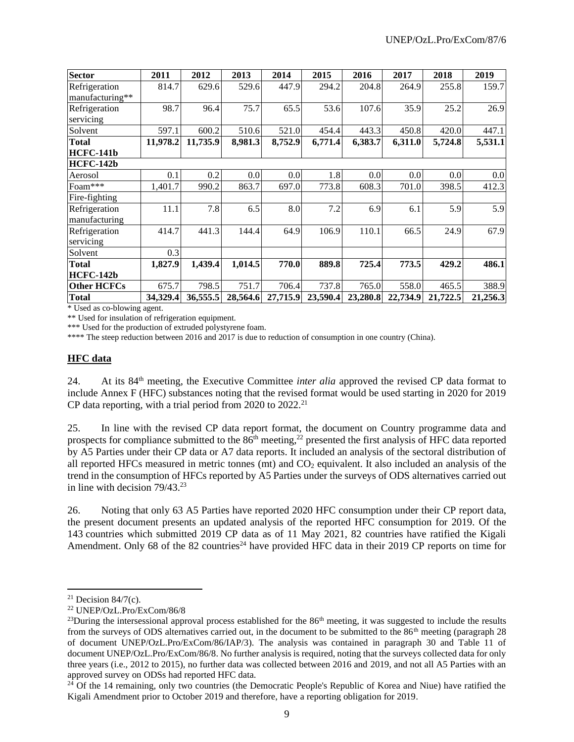| <b>Sector</b>      | 2011     | 2012     | 2013     | 2014     | 2015     | 2016     | 2017     | 2018     | 2019     |
|--------------------|----------|----------|----------|----------|----------|----------|----------|----------|----------|
| Refrigeration      | 814.7    | 629.6    | 529.6    | 447.9    | 294.2    | 204.8    | 264.9    | 255.8    | 159.7    |
| manufacturing**    |          |          |          |          |          |          |          |          |          |
| Refrigeration      | 98.7     | 96.4     | 75.7     | 65.5     | 53.6     | 107.6    | 35.9     | 25.2     | 26.9     |
| servicing          |          |          |          |          |          |          |          |          |          |
| Solvent            | 597.1    | 600.2    | 510.6    | 521.0    | 454.4    | 443.3    | 450.8    | 420.0    | 447.1    |
| <b>Total</b>       | 11,978.2 | 11,735.9 | 8,981.3  | 8,752.9  | 6,771.4  | 6,383.7  | 6,311.0  | 5,724.8  | 5,531.1  |
| HCFC-141b          |          |          |          |          |          |          |          |          |          |
| HCFC-142b          |          |          |          |          |          |          |          |          |          |
| Aerosol            | 0.1      | 0.2      | 0.0      | 0.0      | 1.8      | 0.0      | 0.0      | 0.0      | 0.0      |
| Foam***            | 1,401.7  | 990.2    | 863.7    | 697.0    | 773.8    | 608.3    | 701.0    | 398.5    | 412.3    |
| Fire-fighting      |          |          |          |          |          |          |          |          |          |
| Refrigeration      | 11.1     | 7.8      | 6.5      | 8.0      | 7.2      | 6.9      | 6.1      | 5.9      | 5.9      |
| manufacturing      |          |          |          |          |          |          |          |          |          |
| Refrigeration      | 414.7    | 441.3    | 144.4    | 64.9     | 106.9    | 110.1    | 66.5     | 24.9     | 67.9     |
| servicing          |          |          |          |          |          |          |          |          |          |
| Solvent            | 0.3      |          |          |          |          |          |          |          |          |
| <b>Total</b>       | 1,827.9  | 1,439.4  | 1,014.5  | 770.0    | 889.8    | 725.4    | 773.5    | 429.2    | 486.1    |
| HCFC-142b          |          |          |          |          |          |          |          |          |          |
| <b>Other HCFCs</b> | 675.7    | 798.5    | 751.7    | 706.4    | 737.8    | 765.0    | 558.0    | 465.5    | 388.9    |
| <b>Total</b>       | 34,329.4 | 36,555.5 | 28,564.6 | 27,715.9 | 23,590.4 | 23,280.8 | 22,734.9 | 21,722.5 | 21,256.3 |

\* Used as co-blowing agent.

\*\* Used for insulation of refrigeration equipment.

\*\*\* Used for the production of extruded polystyrene foam.

\*\*\*\* The steep reduction between 2016 and 2017 is due to reduction of consumption in one country (China).

#### **HFC data**

24. At its 84th meeting, the Executive Committee *inter alia* approved the revised CP data format to include Annex F (HFC) substances noting that the revised format would be used starting in 2020 for 2019 CP data reporting, with a trial period from 2020 to  $2022.^{21}$ 

25. In line with the revised CP data report format, the document on Country programme data and prospects for compliance submitted to the  $86<sup>th</sup>$  meeting,<sup>22</sup> presented the first analysis of HFC data reported by A5 Parties under their CP data or A7 data reports. It included an analysis of the sectoral distribution of all reported HFCs measured in metric tonnes (mt) and CO<sub>2</sub> equivalent. It also included an analysis of the trend in the consumption of HFCs reported by A5 Parties under the surveys of ODS alternatives carried out in line with decision 79/43.<sup>23</sup>

26. Noting that only 63 A5 Parties have reported 2020 HFC consumption under their CP report data, the present document presents an updated analysis of the reported HFC consumption for 2019. Of the 143 countries which submitted 2019 CP data as of 11 May 2021, 82 countries have ratified the Kigali Amendment. Only 68 of the 82 countries<sup>24</sup> have provided HFC data in their 2019 CP reports on time for

<sup>&</sup>lt;sup>21</sup> Decision  $84/7(c)$ .

<sup>22</sup> UNEP/OzL.Pro/ExCom/86/8

<sup>&</sup>lt;sup>23</sup>During the intersessional approval process established for the  $86<sup>th</sup>$  meeting, it was suggested to include the results from the surveys of ODS alternatives carried out, in the document to be submitted to the 86<sup>th</sup> meeting (paragraph 28 of document UNEP/OzL.Pro/ExCom/86/IAP/3). The analysis was contained in paragraph 30 and Table 11 of document UNEP/OzL.Pro/ExCom/86/8. No further analysis is required, noting that the surveys collected data for only three years (i.e., 2012 to 2015), no further data was collected between 2016 and 2019, and not all A5 Parties with an approved survey on ODSs had reported HFC data.

 $24$  Of the 14 remaining, only two countries (the Democratic People's Republic of Korea and Niue) have ratified the Kigali Amendment prior to October 2019 and therefore, have a reporting obligation for 2019.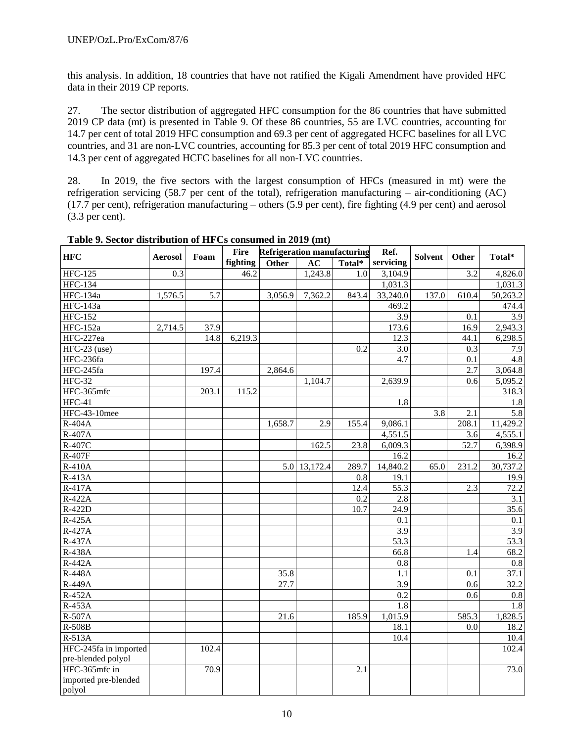this analysis. In addition, 18 countries that have not ratified the Kigali Amendment have provided HFC data in their 2019 CP reports.

27. The sector distribution of aggregated HFC consumption for the 86 countries that have submitted 2019 CP data (mt) is presented in Table 9. Of these 86 countries, 55 are LVC countries, accounting for 14.7 per cent of total 2019 HFC consumption and 69.3 per cent of aggregated HCFC baselines for all LVC countries, and 31 are non-LVC countries, accounting for 85.3 per cent of total 2019 HFC consumption and 14.3 per cent of aggregated HCFC baselines for all non-LVC countries.

28. In 2019, the five sectors with the largest consumption of HFCs (measured in mt) were the refrigeration servicing (58.7 per cent of the total), refrigeration manufacturing – air-conditioning (AC) (17.7 per cent), refrigeration manufacturing – others (5.9 per cent), fire fighting (4.9 per cent) and aerosol (3.3 per cent).

| <b>HFC</b>            |                | Foam  | <b>Fire</b> | <b>Refrigeration manufacturing</b> |              |        | Ref.                 | <b>Solvent</b> | Other | Total*               |
|-----------------------|----------------|-------|-------------|------------------------------------|--------------|--------|----------------------|----------------|-------|----------------------|
|                       | <b>Aerosol</b> |       | fighting    | Other                              | AC           | Total* | servicing            |                |       |                      |
| <b>HFC-125</b>        | 0.3            |       | 46.2        |                                    | 1,243.8      | 1.0    | 3,104.9              |                | 3.2   | 4,826.0              |
| <b>HFC-134</b>        |                |       |             |                                    |              |        | 1,031.3              |                |       | $1,031.\overline{3}$ |
| <b>HFC-134a</b>       | 1,576.5        | 5.7   |             | 3,056.9                            | 7,362.2      | 843.4  | 33,240.0             | 137.0          | 610.4 | 50,263.2             |
| HFC-143a              |                |       |             |                                    |              |        | 469.2                |                |       | 474.4                |
| <b>HFC-152</b>        |                |       |             |                                    |              |        | $\overline{3.9}$     |                | 0.1   | $\overline{3.9}$     |
| <b>HFC-152a</b>       | 2,714.5        | 37.9  |             |                                    |              |        | 173.6                |                | 16.9  | 2,943.3              |
| HFC-227ea             |                | 14.8  | 6,219.3     |                                    |              |        | 12.3                 |                | 44.1  | 6,298.5              |
| $HFC-23$ (use)        |                |       |             |                                    |              | 0.2    | 3.0                  |                | 0.3   | 7.9                  |
| HFC-236fa             |                |       |             |                                    |              |        | $\overline{4.7}$     |                | 0.1   | 4.8                  |
| HFC-245fa             |                | 197.4 |             | 2,864.6                            |              |        |                      |                | 2.7   | 3,064.8              |
| <b>HFC-32</b>         |                |       |             |                                    | 1,104.7      |        | 2,639.9              |                | 0.6   | 5,095.2              |
| HFC-365mfc            |                | 203.1 | 115.2       |                                    |              |        |                      |                |       | 318.3                |
| $HFC-41$              |                |       |             |                                    |              |        | 1.8                  |                |       | 1.8                  |
| HFC-43-10mee          |                |       |             |                                    |              |        |                      | 3.8            | 2.1   | $\overline{5.8}$     |
| R-404A                |                |       |             | 1,658.7                            | 2.9          | 155.4  | 9,086.1              |                | 208.1 | 11,429.2             |
| R-407A                |                |       |             |                                    |              |        | 4,551.5              |                | 3.6   | 4,555.1              |
| R-407C                |                |       |             |                                    | 162.5        | 23.8   | 6,009.3              |                | 52.7  | 6,398.9              |
| R-407F                |                |       |             |                                    |              |        | 16.2                 |                |       | 16.2                 |
| R-410A                |                |       |             |                                    | 5.0 13,172.4 | 289.7  | 14,840.2             | 65.0           | 231.2 | 30,737.2             |
| R-413A                |                |       |             |                                    |              | 0.8    | 19.1                 |                |       | 19.9                 |
| R-417A                |                |       |             |                                    |              | 12.4   | 55.3                 |                | 2.3   | 72.2                 |
| $R-422A$              |                |       |             |                                    |              | 0.2    | 2.8                  |                |       | 3.1                  |
| R-422D                |                |       |             |                                    |              | 10.7   | 24.9                 |                |       | 35.6                 |
| R-425A                |                |       |             |                                    |              |        | 0.1                  |                |       | 0.1                  |
| R-427A                |                |       |             |                                    |              |        | 3.9                  |                |       | 3.9                  |
| R-437A                |                |       |             |                                    |              |        | 53.3                 |                |       | $\overline{53.3}$    |
| R-438A                |                |       |             |                                    |              |        | 66.8                 |                | 1.4   | 68.2                 |
| $R-442A$              |                |       |             |                                    |              |        | 0.8                  |                |       | $0.8\,$              |
| <b>R-448A</b>         |                |       |             | 35.8                               |              |        | 1.1                  |                | 0.1   | 37.1                 |
| <b>R-449A</b>         |                |       |             | 27.7                               |              |        | 3.9                  |                | 0.6   | 32.2                 |
| R-452A                |                |       |             |                                    |              |        | 0.2                  |                | 0.6   | $0.8\,$              |
| $R-453A$              |                |       |             |                                    |              |        | 1.8                  |                |       | 1.8                  |
| R-507A                |                |       |             | 21.6                               |              | 185.9  | $1,015.\overline{9}$ |                | 585.3 | 1,828.5              |
| R-508B                |                |       |             |                                    |              |        | 18.1                 |                | 0.0   | 18.2                 |
| R-513A                |                |       |             |                                    |              |        | 10.4                 |                |       | 10.4                 |
| HFC-245fa in imported |                | 102.4 |             |                                    |              |        |                      |                |       | 102.4                |
| pre-blended polyol    |                |       |             |                                    |              |        |                      |                |       |                      |
| HFC-365mfc in         |                | 70.9  |             |                                    |              | 2.1    |                      |                |       | 73.0                 |
| imported pre-blended  |                |       |             |                                    |              |        |                      |                |       |                      |
| polyol                |                |       |             |                                    |              |        |                      |                |       |                      |

**Table 9. Sector distribution of HFCs consumed in 2019 (mt)**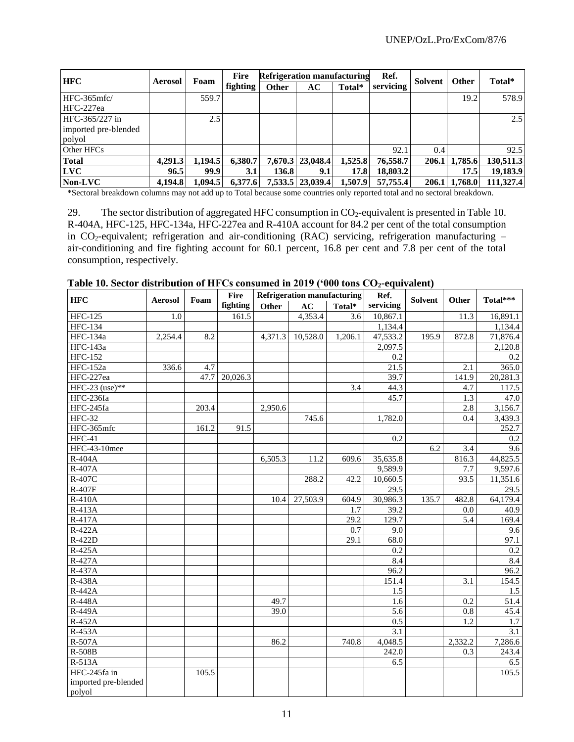| <b>HFC</b>           | <b>Aerosol</b> | Foam    | <b>Fire</b> |              | <b>Refrigeration manufacturing</b> |         | Ref.      | Solvent | <b>Other</b> | Total*    |
|----------------------|----------------|---------|-------------|--------------|------------------------------------|---------|-----------|---------|--------------|-----------|
|                      |                |         | fighting    | <b>Other</b> | АC                                 | Total*  | servicing |         |              |           |
| HFC-365mfc/          |                | 559.7   |             |              |                                    |         |           |         | 19.2         | 578.9     |
| HFC-227ea            |                |         |             |              |                                    |         |           |         |              |           |
| HFC-365/227 in       |                | 2.5     |             |              |                                    |         |           |         |              | 2.5       |
| imported pre-blended |                |         |             |              |                                    |         |           |         |              |           |
| polyol               |                |         |             |              |                                    |         |           |         |              |           |
| Other HFCs           |                |         |             |              |                                    |         | 92.1      | 0.4     |              | 92.5      |
| <b>Total</b>         | 4,291.3        | 1.194.5 | 6,380.7     |              | 7,670.3 23,048.4                   | 1,525.8 | 76,558.7  | 206.1   | 1,785.6      | 130,511.3 |
| <b>LVC</b>           | 96.5           | 99.9    | 3.1         | 136.81       | 9.1                                | 17.8    | 18,803.2  |         | 17.5         | 19,183.9  |
| Non-LVC              | 4.194.8        | 1,094.5 | 6,377.6     |              | 7,533.5 23,039.4                   | 1,507.9 | 57,755.4  | 206.1   | 1.768.0      | 111.327.4 |

\*Sectoral breakdown columns may not add up to Total because some countries only reported total and no sectoral breakdown.

29. The sector distribution of aggregated HFC consumption in  $CO_2$ -equivalent is presented in Table 10. R-404A, HFC-125, HFC-134a, HFC-227ea and R-410A account for 84.2 per cent of the total consumption in CO<sub>2</sub>-equivalent; refrigeration and air-conditioning (RAC) servicing, refrigeration manufacturing – air-conditioning and fire fighting account for 60.1 percent, 16.8 per cent and 7.8 per cent of the total consumption, respectively.

| <b>HFC</b>                   | <b>Aerosol</b> | Foam  | Fire     |         | Refrigeration manufacturing |         | Ref.             | <b>Solvent</b> | Other            | Total***         |
|------------------------------|----------------|-------|----------|---------|-----------------------------|---------|------------------|----------------|------------------|------------------|
|                              |                |       | fighting | Other   | AC                          | Total*  | servicing        |                |                  |                  |
| $\overline{HFC-125}$         | 1.0            |       | 161.5    |         | 4,353.4                     | 3.6     | 10,867.1         |                | 11.3             | 16,891.1         |
| <b>HFC-134</b>               |                |       |          |         |                             |         | 1,134.4          |                |                  | 1,134.4          |
| <b>HFC-134a</b>              | 2,254.4        | 8.2   |          | 4,371.3 | 10,528.0                    | 1,206.1 | 47,533.2         | 195.9          | 872.8            | 71,876.4         |
| $\overline{\text{HFC-143a}}$ |                |       |          |         |                             |         | 2,097.5          |                |                  | 2,120.8          |
| <b>HFC-152</b>               |                |       |          |         |                             |         | 0.2              |                |                  | 0.2              |
| <b>HFC-152a</b>              | 336.6          | 4.7   |          |         |                             |         | 21.5             |                | 2.1              | 365.0            |
| HFC-227ea                    |                | 47.7  | 20,026.3 |         |                             |         | 39.7             |                | 141.9            | 20,281.3         |
| HFC-23 (use)**               |                |       |          |         |                             | 3.4     | 44.3             |                | 4.7              | 117.5            |
| HFC-236fa                    |                |       |          |         |                             |         | 45.7             |                | 1.3              | 47.0             |
| HFC-245fa                    |                | 203.4 |          | 2,950.6 |                             |         |                  |                | 2.8              | 3,156.7          |
| <b>HFC-32</b>                |                |       |          |         | 745.6                       |         | 1,782.0          |                | 0.4              | 3,439.3          |
| HFC-365mfc                   |                | 161.2 | 91.5     |         |                             |         |                  |                |                  | 252.7            |
| $HFC-41$                     |                |       |          |         |                             |         | 0.2              |                |                  | 0.2              |
| HFC-43-10mee                 |                |       |          |         |                             |         |                  | 6.2            | 3.4              | 9.6              |
| R-404A                       |                |       |          | 6,505.3 | 11.2                        | 609.6   | 35,635.8         |                | 816.3            | 44,825.5         |
| $R-407A$                     |                |       |          |         |                             |         | 9,589.9          |                | 7.7              | 9,597.6          |
| R-407C                       |                |       |          |         | 288.2                       | 42.2    | 10,660.5         |                | 93.5             | 11,351.6         |
| R-407F                       |                |       |          |         |                             |         | 29.5             |                |                  | 29.5             |
| <b>R-410A</b>                |                |       |          | 10.4    | 27,503.9                    | 604.9   | 30,986.3         | 135.7          | 482.8            | 64,179.4         |
| R-413A                       |                |       |          |         |                             | 1.7     | 39.2             |                | 0.0              | 40.9             |
| R-417A                       |                |       |          |         |                             | 29.2    | 129.7            |                | 5.4              | 169.4            |
| R-422A                       |                |       |          |         |                             | 0.7     | 9.0              |                |                  | 9.6              |
| R-422D                       |                |       |          |         |                             | 29.1    | 68.0             |                |                  | 97.1             |
| R-425A                       |                |       |          |         |                             |         | 0.2              |                |                  | 0.2              |
| $R-427A$                     |                |       |          |         |                             |         | 8.4              |                |                  | 8.4              |
| R-437A                       |                |       |          |         |                             |         | 96.2             |                |                  | 96.2             |
| <b>R-438A</b>                |                |       |          |         |                             |         | 151.4            |                | 3.1              | 154.5            |
| R-442A                       |                |       |          |         |                             |         | 1.5              |                |                  | 1.5              |
| <b>R-448A</b>                |                |       |          | 49.7    |                             |         | 1.6              |                | 0.2              | 51.4             |
| R-449A                       |                |       |          | 39.0    |                             |         | $\overline{5.6}$ |                | $0.8\,$          | 45.4             |
| R-452A                       |                |       |          |         |                             |         | 0.5              |                | $\overline{1.2}$ | 1.7              |
| R-453A                       |                |       |          |         |                             |         | $\overline{3.1}$ |                |                  | $\overline{3.1}$ |
| R-507A                       |                |       |          | 86.2    |                             | 740.8   | 4,048.5          |                | 2,332.2          | 7,286.6          |
| R-508B                       |                |       |          |         |                             |         | 242.0            |                | 0.3              | 243.4            |
| R-513A                       |                |       |          |         |                             |         | 6.5              |                |                  | 6.5              |
| HFC-245fa in                 |                | 105.5 |          |         |                             |         |                  |                |                  | 105.5            |
| imported pre-blended         |                |       |          |         |                             |         |                  |                |                  |                  |
| polyol                       |                |       |          |         |                             |         |                  |                |                  |                  |

**Table 10. Sector distribution of HFCs consumed in 2019 ('000 tons CO2-equivalent)**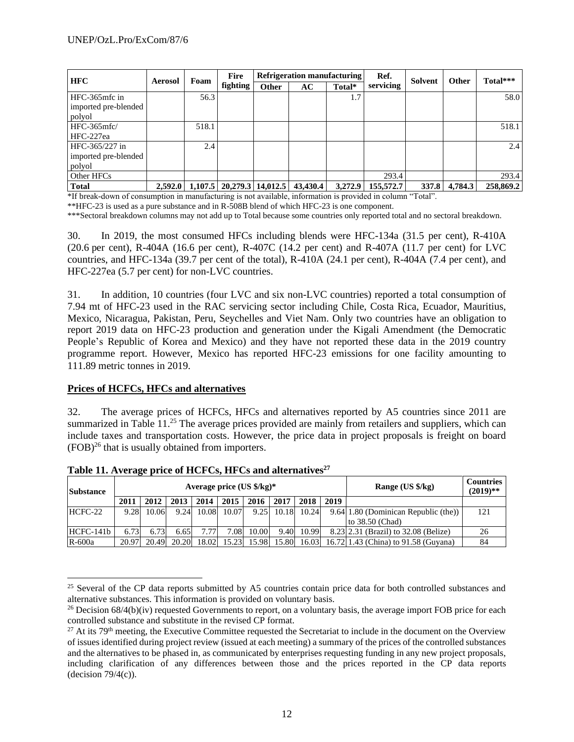| <b>HFC</b>                                  | <b>Aerosol</b> | Foam  | Fire                            |              | <b>Refrigeration manufacturing</b>                         |         | Ref.      | Solvent                                     | <b>Other</b> | Total***  |
|---------------------------------------------|----------------|-------|---------------------------------|--------------|------------------------------------------------------------|---------|-----------|---------------------------------------------|--------------|-----------|
|                                             |                |       | <b>fighting</b>                 | <b>Other</b> | AC.                                                        | Total*  | servicing |                                             |              |           |
| HFC-365mfc in                               |                | 56.3  |                                 |              |                                                            | 1.7     |           |                                             |              | 58.0      |
| imported pre-blended                        |                |       |                                 |              |                                                            |         |           |                                             |              |           |
| polyol                                      |                |       |                                 |              |                                                            |         |           |                                             |              |           |
| HFC-365mfc/                                 |                | 518.1 |                                 |              |                                                            |         |           |                                             |              | 518.1     |
| HFC-227ea                                   |                |       |                                 |              |                                                            |         |           |                                             |              |           |
| HFC-365/227 in                              |                | 2.4   |                                 |              |                                                            |         |           |                                             |              | 2.4       |
| imported pre-blended                        |                |       |                                 |              |                                                            |         |           |                                             |              |           |
| polyol                                      |                |       |                                 |              |                                                            |         |           |                                             |              |           |
| Other HFCs                                  |                |       |                                 |              |                                                            |         | 293.4     |                                             |              | 293.4     |
| <b>Total</b><br>$\sim$<br>$1.7.0.1$ $1.7.1$ | 2,592.0        |       | $1,107.5$   20,279.3   14,012.5 |              | 43,430.4<br>$\mathbf{a}$ and $\mathbf{a}$ and $\mathbf{a}$ | 3,272.9 | 155,572.7 | 337.8<br>$\sim$<br>$\overline{\phantom{a}}$ | 4,784.3      | 258,869.2 |

\*If break-down of consumption in manufacturing is not available, information is provided in column "Total".

\*\*HFC-23 is used as a pure substance and in R-508B blend of which HFC-23 is one component.

\*\*\*Sectoral breakdown columns may not add up to Total because some countries only reported total and no sectoral breakdown.

30. In 2019, the most consumed HFCs including blends were HFC-134a (31.5 per cent), R-410A (20.6 per cent), R-404A (16.6 per cent), R-407C (14.2 per cent) and R-407A (11.7 per cent) for LVC countries, and HFC-134a (39.7 per cent of the total), R-410A (24.1 per cent), R-404A (7.4 per cent), and HFC-227ea (5.7 per cent) for non-LVC countries.

31. In addition, 10 countries (four LVC and six non-LVC countries) reported a total consumption of 7.94 mt of HFC-23 used in the RAC servicing sector including Chile, Costa Rica, Ecuador, Mauritius, Mexico, Nicaragua, Pakistan, Peru, Seychelles and Viet Nam. Only two countries have an obligation to report 2019 data on HFC-23 production and generation under the Kigali Amendment (the Democratic People's Republic of Korea and Mexico) and they have not reported these data in the 2019 country programme report. However, Mexico has reported HFC-23 emissions for one facility amounting to 111.89 metric tonnes in 2019.

#### **Prices of HCFCs, HFCs and alternatives**

32. The average prices of HCFCs, HFCs and alternatives reported by A5 countries since 2011 are summarized in Table 11.<sup>25</sup> The average prices provided are mainly from retailers and suppliers, which can include taxes and transportation costs. However, the price data in project proposals is freight on board (FOB)<sup>26</sup> that is usually obtained from importers.

| <b>Substance</b> |       |       |       |       |       | Average price $(US \frac{6}{kg})^*$ |              |       |      | Range (US \$/kg)                           | <b>Countries</b><br>$(2019)$ ** |
|------------------|-------|-------|-------|-------|-------|-------------------------------------|--------------|-------|------|--------------------------------------------|---------------------------------|
|                  | 2011  | 2012  | 2013  | 2014  | 2015  | 2016                                | 2017         | 2018  | 2019 |                                            |                                 |
| HCFC-22          | 9.28  | 10.06 | 9.24  | 10.08 | 10.07 |                                     | $9.25$ 10.18 | 10.24 |      | 9.64 1.80 (Dominican Republic (the))       | 121                             |
|                  |       |       |       |       |       |                                     |              |       |      | to 38.50 (Chad)                            |                                 |
| HCFC-141b        | 6.73  | 6.73  | 6.65  | 7.77  | 7.08  | 10.00                               | 9.40         | 10.99 |      | 8.23 2.31 (Brazil) to 32.08 (Belize)       | 26                              |
| $R-600a$         | 20.97 | 20.49 | 20.20 | 18.02 | 15.23 | 15.98                               | 15.80        |       |      | 16.03 16.72 1.43 (China) to 91.58 (Guyana) | 84                              |

**Table 11. Average price of HCFCs, HFCs and alternatives<sup>27</sup>**

<sup>&</sup>lt;sup>25</sup> Several of the CP data reports submitted by A5 countries contain price data for both controlled substances and alternative substances. This information is provided on voluntary basis.

<sup>&</sup>lt;sup>26</sup> Decision  $68/4(b)(iv)$  requested Governments to report, on a voluntary basis, the average import FOB price for each controlled substance and substitute in the revised CP format.

<sup>&</sup>lt;sup>27</sup> At its 79<sup>th</sup> meeting, the Executive Committee requested the Secretariat to include in the document on the Overview of issues identified during project review (issued at each meeting) a summary of the prices of the controlled substances and the alternatives to be phased in, as communicated by enterprises requesting funding in any new project proposals, including clarification of any differences between those and the prices reported in the CP data reports (decision  $79/4(c)$ ).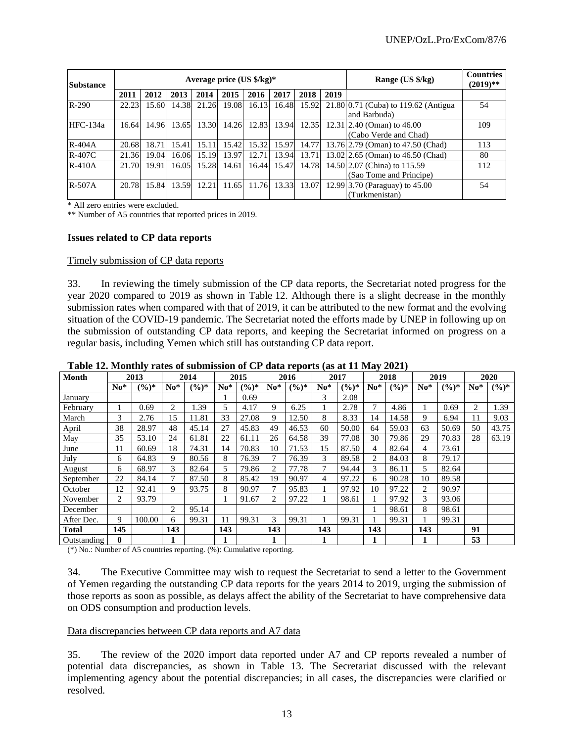| <b>Substance</b> |       |       |       |       | Average price $(US \frac{6}{5}kg)^*$ |       |       |       |      | Range (US \$/kg)                     | <b>Countries</b><br>$(2019)$ ** |
|------------------|-------|-------|-------|-------|--------------------------------------|-------|-------|-------|------|--------------------------------------|---------------------------------|
|                  | 2011  | 2012  | 2013  | 2014  | 2015                                 | 2016  | 2017  | 2018  | 2019 |                                      |                                 |
| $R-290$          | 22.23 | 15.60 | 14.38 | 21.26 | 19.08                                | 16.13 | 16.48 | 15.92 |      | 21.80 0.71 (Cuba) to 119.62 (Antigua | 54                              |
|                  |       |       |       |       |                                      |       |       |       |      | and Barbuda)                         |                                 |
| HFC-134a         | 16.64 | 14.96 | 13.65 | 13.30 | 14.26                                | 12.83 | 13.94 | 12.35 |      | $12.31$ 2.40 (Oman) to 46.00         | 109                             |
|                  |       |       |       |       |                                      |       |       |       |      | (Cabo Verde and Chad)                |                                 |
| $R-404A$         | 20.68 | 18.71 | 15.41 | 15.11 | 15.42                                | 15.32 | 15.97 | 14.77 |      | 13.76 2.79 (Oman) to 47.50 (Chad)    | 113                             |
| $R-407C$         | 21.36 | 19.04 | 16.06 | 15.19 | 13.97                                | 12.71 | 13.94 | 13.71 |      | 13.02 2.65 (Oman) to 46.50 (Chad)    | 80                              |
| $R-410A$         | 21.70 | 19.91 | 16.05 | 15.28 | 14.61                                | 16.44 | 15.47 | 14.78 |      | 14.50 2.07 (China) to 115.59         | 112                             |
|                  |       |       |       |       |                                      |       |       |       |      | (Sao Tome and Principe)              |                                 |
| $R-507A$         | 20.78 | 15.84 | 13.59 | 12.21 | 11.65                                | 11.76 | 13.33 | 13.07 |      | 12.99 3.70 (Paraguay) to 45.00       | 54                              |
|                  |       |       |       |       |                                      |       |       |       |      | (Turkmenistan)                       |                                 |

\* All zero entries were excluded.

\*\* Number of A5 countries that reported prices in 2019.

#### **Issues related to CP data reports**

#### Timely submission of CP data reports

33. In reviewing the timely submission of the CP data reports, the Secretariat noted progress for the year 2020 compared to 2019 as shown in Table 12. Although there is a slight decrease in the monthly submission rates when compared with that of 2019, it can be attributed to the new format and the evolving situation of the COVID-19 pandemic. The Secretariat noted the efforts made by UNEP in following up on the submission of outstanding CP data reports, and keeping the Secretariat informed on progress on a regular basis, including Yemen which still has outstanding CP data report.

| Month        |              | 2013              |       | 2014     |       | 2015              |       | 2016              |       | 2017              |       | 2018              |       | 2019              |       | 2020              |
|--------------|--------------|-------------------|-------|----------|-------|-------------------|-------|-------------------|-------|-------------------|-------|-------------------|-------|-------------------|-------|-------------------|
|              | $No*$        | $(\frac{6}{6})^*$ | $No*$ | $(\%)^*$ | $No*$ | $(\frac{6}{6})^*$ | $No*$ | $(\frac{9}{6})^*$ | $No*$ | $(\frac{6}{6})^*$ | $No*$ | $(\frac{9}{6})^*$ | $No*$ | $(\frac{6}{6})^*$ | $No*$ | $(\frac{6}{6})^*$ |
| January      |              |                   |       |          |       | 0.69              |       |                   | 3     | 2.08              |       |                   |       |                   |       |                   |
| February     |              | 0.69              | 2     | 1.39     | 5     | 4.17              | 9     | 6.25              |       | 2.78              | 7     | 4.86              |       | 0.69              | 2     | 1.39              |
| March        | 3            | 2.76              | 15    | 11.81    | 33    | 27.08             | 9     | 12.50             | 8     | 8.33              | 14    | 14.58             | 9     | 6.94              | 11    | 9.03              |
| April        | 38           | 28.97             | 48    | 45.14    | 27    | 45.83             | 49    | 46.53             | 60    | 50.00             | 64    | 59.03             | 63    | 50.69             | 50    | 43.75             |
| May          | 35           | 53.10             | 24    | 61.81    | 22    | 61.11             | 26    | 64.58             | 39    | 77.08             | 30    | 79.86             | 29    | 70.83             | 28    | 63.19             |
| June         | 11           | 60.69             | 18    | 74.31    | 14    | 70.83             | 10    | 71.53             | 15    | 87.50             | 4     | 82.64             | 4     | 73.61             |       |                   |
| July         | 6            | 64.83             | 9     | 80.56    | 8     | 76.39             |       | 76.39             | 3     | 89.58             | 2     | 84.03             | 8     | 79.17             |       |                   |
| August       | 6            | 68.97             | 3     | 82.64    | 5     | 79.86             | 2     | 77.78             | 7     | 94.44             | 3     | 86.11             | 5.    | 82.64             |       |                   |
| September    | 22           | 84.14             | 7     | 87.50    | 8     | 85.42             | 19    | 90.97             | 4     | 97.22             | 6     | 90.28             | 10    | 89.58             |       |                   |
| October      | 12           | 92.41             | 9     | 93.75    | 8     | 90.97             | 7     | 95.83             |       | 97.92             | 10    | 97.22             | 2     | 90.97             |       |                   |
| November     | 2            | 93.79             |       |          |       | 91.67             | 2     | 97.22             |       | 98.61             |       | 97.92             | 3     | 93.06             |       |                   |
| December     |              |                   | 2     | 95.14    |       |                   |       |                   |       |                   |       | 98.61             | 8     | 98.61             |       |                   |
| After Dec.   | 9            | 100.00            | 6     | 99.31    | 11    | 99.31             | 3     | 99.31             |       | 99.31             |       | 99.31             |       | 99.31             |       |                   |
| <b>Total</b> | 145          |                   | 143   |          | 143   |                   | 143   |                   | 143   |                   | 143   |                   | 143   |                   | 91    |                   |
| Outstanding  | $\mathbf{0}$ |                   |       |          |       |                   |       |                   |       |                   |       |                   |       |                   | 53    |                   |

**Table 12. Monthly rates of submission of CP data reports (as at 11 May 2021)**

(\*) No.: Number of A5 countries reporting. (%): Cumulative reporting.

34. The Executive Committee may wish to request the Secretariat to send a letter to the Government of Yemen regarding the outstanding CP data reports for the years 2014 to 2019, urging the submission of those reports as soon as possible, as delays affect the ability of the Secretariat to have comprehensive data on ODS consumption and production levels.

#### Data discrepancies between CP data reports and A7 data

35. The review of the 2020 import data reported under A7 and CP reports revealed a number of potential data discrepancies, as shown in Table 13. The Secretariat discussed with the relevant implementing agency about the potential discrepancies; in all cases, the discrepancies were clarified or resolved.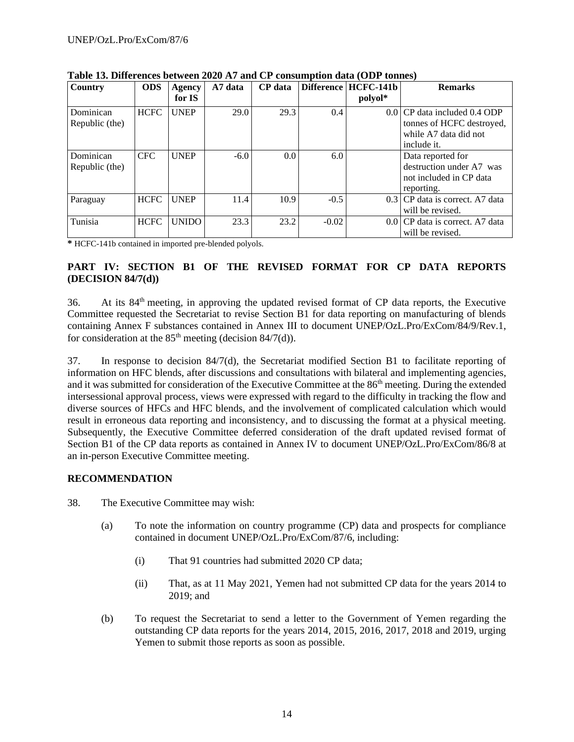| Country                     | <b>ODS</b>  | Agency<br>for IS | A7 data | <b>CP</b> data |         | Difference   HCFC-141b<br>polyol* | <b>Remarks</b>                                                                                    |
|-----------------------------|-------------|------------------|---------|----------------|---------|-----------------------------------|---------------------------------------------------------------------------------------------------|
| Dominican<br>Republic (the) | <b>HCFC</b> | <b>UNEP</b>      | 29.0    | 29.3           | 0.4     |                                   | 0.0 CP data included 0.4 ODP<br>tonnes of HCFC destroyed,<br>while A7 data did not<br>include it. |
| Dominican<br>Republic (the) | <b>CFC</b>  | <b>UNEP</b>      | $-6.0$  | 0.0            | 6.0     |                                   | Data reported for<br>destruction under A7 was<br>not included in CP data<br>reporting.            |
| Paraguay                    | <b>HCFC</b> | <b>UNEP</b>      | 11.4    | 10.9           | $-0.5$  |                                   | 0.3 CP data is correct. A7 data<br>will be revised.                                               |
| Tunisia                     | <b>HCFC</b> | <b>UNIDO</b>     | 23.3    | 23.2           | $-0.02$ |                                   | 0.0 CP data is correct. A7 data<br>will be revised.                                               |

**Table 13. Differences between 2020 A7 and CP consumption data (ODP tonnes)** 

**\*** HCFC-141b contained in imported pre-blended polyols.

#### **PART IV: SECTION B1 OF THE REVISED FORMAT FOR CP DATA REPORTS (DECISION 84/7(d))**

36. At its 84th meeting, in approving the updated revised format of CP data reports, the Executive Committee requested the Secretariat to revise Section B1 for data reporting on manufacturing of blends containing Annex F substances contained in Annex III to document UNEP/OzL.Pro/ExCom/84/9/Rev.1, for consideration at the  $85<sup>th</sup>$  meeting (decision  $84/7(d)$ ).

37. In response to decision 84/7(d), the Secretariat modified Section B1 to facilitate reporting of information on HFC blends, after discussions and consultations with bilateral and implementing agencies, and it was submitted for consideration of the Executive Committee at the 86<sup>th</sup> meeting. During the extended intersessional approval process, views were expressed with regard to the difficulty in tracking the flow and diverse sources of HFCs and HFC blends, and the involvement of complicated calculation which would result in erroneous data reporting and inconsistency, and to discussing the format at a physical meeting. Subsequently, the Executive Committee deferred consideration of the draft updated revised format of Section B1 of the CP data reports as contained in Annex IV to document UNEP/OzL.Pro/ExCom/86/8 at an in-person Executive Committee meeting.

#### **RECOMMENDATION**

- 38. The Executive Committee may wish:
	- (a) To note the information on country programme (CP) data and prospects for compliance contained in document UNEP/OzL.Pro/ExCom/87/6, including:
		- (i) That 91 countries had submitted 2020 CP data;
		- (ii) That, as at 11 May 2021, Yemen had not submitted CP data for the years 2014 to 2019; and
	- (b) To request the Secretariat to send a letter to the Government of Yemen regarding the outstanding CP data reports for the years 2014, 2015, 2016, 2017, 2018 and 2019, urging Yemen to submit those reports as soon as possible.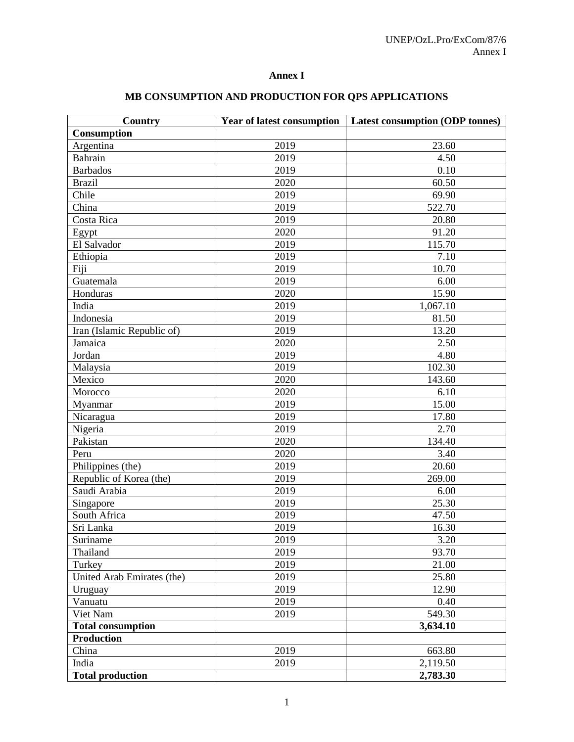# **Annex I**

| Country                    | <b>Year of latest consumption</b> | <b>Latest consumption (ODP tonnes)</b> |  |  |  |
|----------------------------|-----------------------------------|----------------------------------------|--|--|--|
| Consumption                |                                   |                                        |  |  |  |
| Argentina                  | 2019                              | 23.60                                  |  |  |  |
| Bahrain                    | 2019                              | 4.50                                   |  |  |  |
| <b>Barbados</b>            | 2019                              | 0.10                                   |  |  |  |
| <b>Brazil</b>              | 2020                              | 60.50                                  |  |  |  |
| Chile                      | 2019                              | 69.90                                  |  |  |  |
| China                      | 2019                              | 522.70                                 |  |  |  |
| Costa Rica                 | 2019                              | 20.80                                  |  |  |  |
| Egypt                      | 2020                              | 91.20                                  |  |  |  |
| El Salvador                | 2019                              | 115.70                                 |  |  |  |
| Ethiopia                   | 2019                              | 7.10                                   |  |  |  |
| Fiji                       | 2019                              | 10.70                                  |  |  |  |
| Guatemala                  | 2019                              | 6.00                                   |  |  |  |
| Honduras                   | 2020                              | 15.90                                  |  |  |  |
| India                      | 2019                              | 1,067.10                               |  |  |  |
| Indonesia                  | 2019                              | 81.50                                  |  |  |  |
| Iran (Islamic Republic of) | 2019                              | 13.20                                  |  |  |  |
| Jamaica                    | 2020                              | 2.50                                   |  |  |  |
| Jordan                     | 2019                              | 4.80                                   |  |  |  |
| Malaysia                   | 2019                              | 102.30                                 |  |  |  |
| Mexico                     | 2020                              | 143.60                                 |  |  |  |
| Morocco                    | 2020                              | 6.10                                   |  |  |  |
| Myanmar                    | 2019                              | 15.00                                  |  |  |  |
| Nicaragua                  | 2019                              | 17.80                                  |  |  |  |
| Nigeria                    | 2019                              | 2.70                                   |  |  |  |
| Pakistan                   | 2020                              | 134.40                                 |  |  |  |
| Peru                       | 2020                              | 3.40                                   |  |  |  |
| Philippines (the)          | 2019                              | 20.60                                  |  |  |  |
| Republic of Korea (the)    | 2019                              | 269.00                                 |  |  |  |
| Saudi Arabia               | 2019                              | 6.00                                   |  |  |  |
| Singapore                  | 2019                              | 25.30                                  |  |  |  |
| South Africa               | 2019                              | 47.50                                  |  |  |  |
| Sri Lanka                  | 2019                              | 16.30                                  |  |  |  |
| Suriname                   | 2019                              | 3.20                                   |  |  |  |
| Thailand                   | 2019                              | 93.70                                  |  |  |  |
| Turkey                     | 2019                              | 21.00                                  |  |  |  |
| United Arab Emirates (the) | 2019                              | 25.80                                  |  |  |  |
| Uruguay                    | 2019                              | 12.90                                  |  |  |  |
| Vanuatu                    | 2019                              | 0.40                                   |  |  |  |
| Viet Nam                   | 2019                              | 549.30                                 |  |  |  |
| <b>Total consumption</b>   |                                   | 3,634.10                               |  |  |  |
| <b>Production</b>          |                                   |                                        |  |  |  |
| China                      | 2019                              | 663.80                                 |  |  |  |
| India                      | 2019                              | 2,119.50                               |  |  |  |
| <b>Total production</b>    |                                   | 2,783.30                               |  |  |  |

# **MB CONSUMPTION AND PRODUCTION FOR QPS APPLICATIONS**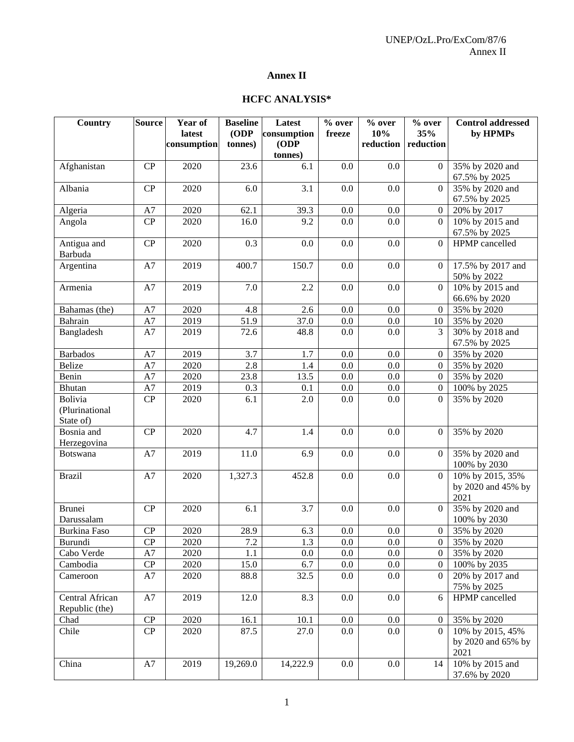# **Annex II**

## **HCFC ANALYSIS\***

| Country                                       | <b>Source</b> | Year of<br>latest | <b>Baseline</b><br>(ODP) | Latest<br>consumption | $%$ over<br>freeze | $%$ over<br>10% | % over<br>35%    | <b>Control addressed</b><br>by HPMPs           |
|-----------------------------------------------|---------------|-------------------|--------------------------|-----------------------|--------------------|-----------------|------------------|------------------------------------------------|
|                                               |               | consumption       | tonnes)                  | (ODP)<br>tonnes)      |                    | reduction       | reduction        |                                                |
| Afghanistan                                   | CP            | 2020              | 23.6                     | 6.1                   | 0.0                | 0.0             | $\Omega$         | 35% by 2020 and<br>67.5% by 2025               |
| Albania                                       | CP            | 2020              | 6.0                      | 3.1                   | 0.0                | 0.0             | $\Omega$         | 35% by 2020 and<br>67.5% by 2025               |
| Algeria                                       | A7            | 2020              | 62.1                     | 39.3                  | 0.0                | 0.0             | $\overline{0}$   | 20% by 2017                                    |
| Angola                                        | CP            | 2020              | 16.0                     | 9.2                   | 0.0                | 0.0             | $\Omega$         | 10% by 2015 and<br>67.5% by 2025               |
| Antigua and<br>Barbuda                        | CP            | 2020              | 0.3                      | 0.0                   | 0.0                | 0.0             | $\overline{0}$   | HPMP cancelled                                 |
| Argentina                                     | A7            | 2019              | 400.7                    | 150.7                 | 0.0                | 0.0             | $\overline{0}$   | 17.5% by 2017 and<br>50% by 2022               |
| Armenia                                       | A7            | 2019              | 7.0                      | 2.2                   | 0.0                | 0.0             | $\overline{0}$   | 10% by 2015 and<br>66.6% by 2020               |
| Bahamas (the)                                 | A7            | 2020              | 4.8                      | 2.6                   | 0.0                | 0.0             | $\overline{0}$   | 35% by 2020                                    |
| Bahrain                                       | A7            | 2019              | 51.9                     | 37.0                  | $0.0\,$            | 0.0             | 10               | 35% by 2020                                    |
| Bangladesh                                    | A7            | 2019              | 72.6                     | 48.8                  | 0.0                | 0.0             | 3                | 30% by 2018 and<br>67.5% by 2025               |
| <b>Barbados</b>                               | A7            | 2019              | 3.7                      | 1.7                   | 0.0                | 0.0             | $\overline{0}$   | 35% by 2020                                    |
| <b>Belize</b>                                 | A7            | 2020              | 2.8                      | 1.4                   | 0.0                | 0.0             | $\overline{0}$   | 35% by 2020                                    |
| Benin                                         | A7            | 2020              | 23.8                     | 13.5                  | 0.0                | 0.0             | $\overline{0}$   | 35% by 2020                                    |
| <b>Bhutan</b>                                 | A7            | 2019              | 0.3                      | 0.1                   | 0.0                | 0.0             | $\overline{0}$   | 100% by 2025                                   |
| <b>Bolivia</b><br>(Plurinational<br>State of) | CP            | 2020              | 6.1                      | 2.0                   | 0.0                | 0.0             | $\overline{0}$   | 35% by 2020                                    |
| Bosnia and<br>Herzegovina                     | CP            | 2020              | 4.7                      | 1.4                   | 0.0                | 0.0             | $\overline{0}$   | 35% by 2020                                    |
| <b>Botswana</b>                               | A7            | 2019              | 11.0                     | 6.9                   | 0.0                | 0.0             | $\overline{0}$   | 35% by 2020 and<br>100% by 2030                |
| <b>Brazil</b>                                 | A7            | 2020              | 1,327.3                  | 452.8                 | 0.0                | 0.0             | $\overline{0}$   | 10% by 2015, 35%<br>by 2020 and 45% by<br>2021 |
| <b>Brunei</b><br>Darussalam                   | CP            | 2020              | 6.1                      | 3.7                   | 0.0                | 0.0             | $\Omega$         | 35% by 2020 and<br>100% by 2030                |
| <b>Burkina Faso</b>                           | CP            | 2020              | 28.9                     | 6.3                   | 0.0                | 0.0             | $\overline{0}$   | 35% by 2020                                    |
| Burundi                                       | ${\bf CP}$    | 2020              | $7.2\,$                  | 1.3                   | 0.0                | $0.0\,$         | $\overline{0}$   | 35% by 2020                                    |
| Cabo Verde                                    | A7            | 2020              | 1.1                      | 0.0                   | 0.0                | 0.0             | $\overline{0}$   | 35% by 2020                                    |
| Cambodia                                      | ${\bf CP}$    | 2020              | 15.0                     | 6.7                   | 0.0                | 0.0             | $\overline{0}$   | 100% by 2035                                   |
| Cameroon                                      | A7            | 2020              | 88.8                     | 32.5                  | 0.0                | 0.0             | $\overline{0}$   | 20% by 2017 and<br>75% by 2025                 |
| Central African<br>Republic (the)             | A7            | 2019              | 12.0                     | 8.3                   | 0.0                | 0.0             | 6                | HPMP cancelled                                 |
| Chad                                          | ${\bf CP}$    | 2020              | 16.1                     | 10.1                  | $0.0\,$            | $0.0\,$         | $\boldsymbol{0}$ | 35% by 2020                                    |
| Chile                                         | CP            | 2020              | 87.5                     | 27.0                  | 0.0                | 0.0             | $\overline{0}$   | 10% by 2015, 45%<br>by 2020 and 65% by<br>2021 |
| China                                         | A7            | 2019              | 19,269.0                 | 14,222.9              | $0.0\,$            | $0.0\,$         | 14               | 10% by 2015 and<br>37.6% by 2020               |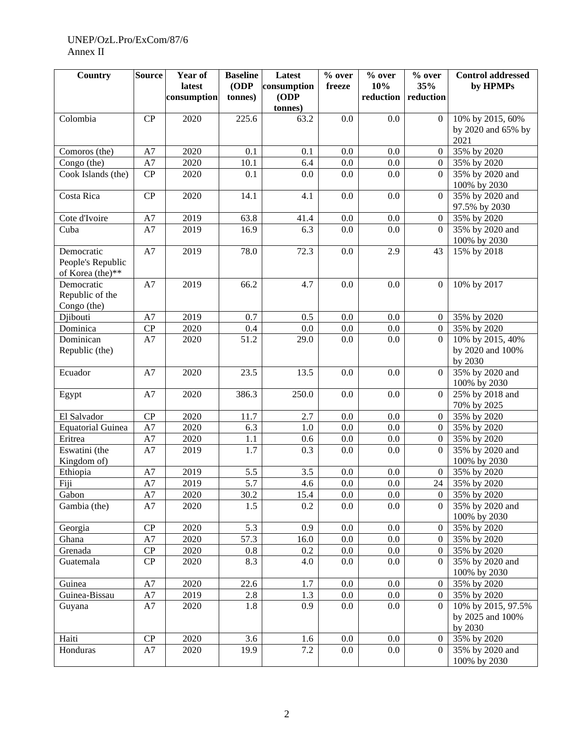#### UNEP/OzL.Pro/ExCom/87/6 Annex II

| <b>Country</b>                 | <b>Source</b>          | Year of     | <b>Baseline</b> | Latest      | % over  | % over    | % over           | <b>Control addressed</b> |
|--------------------------------|------------------------|-------------|-----------------|-------------|---------|-----------|------------------|--------------------------|
|                                |                        | latest      | (ODP            | consumption | freeze  | 10%       | 35%              | by HPMPs                 |
|                                |                        | consumption | tonnes)         | ODP         |         | reduction | reduction        |                          |
|                                |                        |             |                 | tonnes)     |         |           |                  |                          |
| Colombia                       | CP                     | 2020        | 225.6           | 63.2        | 0.0     | 0.0       | $\Omega$         | 10% by 2015, 60%         |
|                                |                        |             |                 |             |         |           |                  | by 2020 and 65% by       |
|                                |                        |             |                 |             |         |           |                  | 2021                     |
| Comoros (the)                  | $\rm A7$               | 2020        | 0.1             | 0.1         | 0.0     | 0.0       | $\mathbf{0}$     | 35% by 2020              |
| Congo (the)                    | A7                     | 2020        | 10.1            | 6.4         | 0.0     | 0.0       | $\overline{0}$   | 35% by 2020              |
| Cook Islands (the)             | CP                     | 2020        | 0.1             | 0.0         | 0.0     | 0.0       | $\Omega$         | 35% by 2020 and          |
|                                |                        |             |                 |             |         |           |                  | 100% by 2030             |
| Costa Rica                     | CP                     | 2020        | 14.1            | 4.1         | 0.0     | 0.0       | $\mathbf{0}$     | 35% by 2020 and          |
|                                |                        |             |                 |             |         |           |                  | 97.5% by 2030            |
| Cote d'Ivoire                  | A7                     | 2019        | 63.8            | 41.4        | 0.0     | 0.0       | $\overline{0}$   | 35% by 2020              |
| Cuba                           | A7                     | 2019        | 16.9            | 6.3         | 0.0     | 0.0       | $\overline{0}$   | 35% by 2020 and          |
|                                |                        |             |                 |             |         |           |                  | 100% by 2030             |
| Democratic                     | A7                     | 2019        | 78.0            | 72.3        | 0.0     | 2.9       | 43               | 15% by 2018              |
| People's Republic              |                        |             |                 |             |         |           |                  |                          |
| of Korea (the)**<br>Democratic |                        |             |                 |             |         |           |                  |                          |
|                                | A7                     | 2019        | 66.2            | 4.7         | 0.0     | 0.0       | $\mathbf{0}$     | 10% by 2017              |
| Republic of the<br>Congo (the) |                        |             |                 |             |         |           |                  |                          |
| Djibouti                       | A7                     | 2019        | 0.7             | 0.5         | 0.0     | 0.0       | $\overline{0}$   | 35% by 2020              |
| Dominica                       | $\mathbf{C}\mathbf{P}$ | 2020        | 0.4             | 0.0         | 0.0     | 0.0       | $\overline{0}$   | 35% by 2020              |
| Dominican                      | A7                     | 2020        | 51.2            | 29.0        | 0.0     | 0.0       | $\Omega$         | 10% by 2015, 40%         |
| Republic (the)                 |                        |             |                 |             |         |           |                  | by 2020 and 100%         |
|                                |                        |             |                 |             |         |           |                  | by 2030                  |
| Ecuador                        | A7                     | 2020        | 23.5            | 13.5        | 0.0     | 0.0       | $\Omega$         | 35% by 2020 and          |
|                                |                        |             |                 |             |         |           |                  | 100% by 2030             |
| Egypt                          | A7                     | 2020        | 386.3           | 250.0       | 0.0     | 0.0       | $\Omega$         | 25% by 2018 and          |
|                                |                        |             |                 |             |         |           |                  | 70% by 2025              |
| El Salvador                    | CP                     | 2020        | 11.7            | 2.7         | 0.0     | 0.0       | $\overline{0}$   | 35% by 2020              |
| <b>Equatorial Guinea</b>       | A7                     | 2020        | 6.3             | 1.0         | 0.0     | 0.0       | $\overline{0}$   | 35% by 2020              |
| Eritrea                        | A7                     | 2020        | 1.1             | 0.6         | 0.0     | 0.0       | $\overline{0}$   | 35% by 2020              |
| Eswatini (the                  | A7                     | 2019        | 1.7             | 0.3         | 0.0     | 0.0       | $\Omega$         | 35% by 2020 and          |
| Kingdom of)                    |                        |             |                 |             |         |           |                  | 100% by 2030             |
| Ethiopia                       | A7                     | 2019        | 5.5             | 3.5         | 0.0     | 0.0       | $\mathbf{0}$     | 35% by 2020              |
| Fiji                           | A7                     | 2019        | 5.7             | 4.6         | 0.0     | 0.0       | 24               | 35% by 2020              |
| Gabon                          | A7                     | 2020        | 30.2            | 15.4        | $0.0\,$ | $0.0\,$   | $\overline{0}$   | 35% by 2020              |
| Gambia (the)                   | A7                     | 2020        | 1.5             | 0.2         | 0.0     | 0.0       | $\Omega$         | 35% by 2020 and          |
|                                |                        |             |                 |             |         |           |                  | 100% by 2030             |
| Georgia                        | CP                     | 2020        | 5.3             | 0.9         | 0.0     | 0.0       | $\boldsymbol{0}$ | 35% by 2020              |
| Ghana                          | $\rm A7$               | 2020        | 57.3            | 16.0        | 0.0     | 0.0       | $\overline{0}$   | 35% by 2020              |
| Grenada                        | ${\bf CP}$             | 2020        | 0.8             | 0.2         | 0.0     | $0.0\,$   | $\overline{0}$   | 35% by 2020              |
| Guatemala                      | CP                     | 2020        | 8.3             | 4.0         | 0.0     | 0.0       | $\overline{0}$   | 35% by 2020 and          |
|                                |                        |             |                 |             |         |           |                  | 100% by 2030             |
| Guinea                         | $\rm A7$               | 2020        | 22.6            | 1.7         | 0.0     | $0.0\,$   | $\overline{0}$   | 35% by 2020              |
| Guinea-Bissau                  | ${\rm A}7$             | 2019        | 2.8             | 1.3         | 0.0     | $0.0\,$   | $\overline{0}$   | 35% by 2020              |
| Guyana                         | A7                     | 2020        | 1.8             | 0.9         | 0.0     | 0.0       | $\overline{0}$   | 10% by 2015, 97.5%       |
|                                |                        |             |                 |             |         |           |                  | by 2025 and 100%         |
|                                |                        |             |                 |             |         |           |                  | by 2030                  |
| Haiti                          | CP                     | 2020        | 3.6             | 1.6         | 0.0     | 0.0       | $\theta$         | 35% by 2020              |
| Honduras                       | A7                     | 2020        | 19.9            | 7.2         | 0.0     | $0.0\,$   | $\overline{0}$   | 35% by 2020 and          |
|                                |                        |             |                 |             |         |           |                  | 100% by 2030             |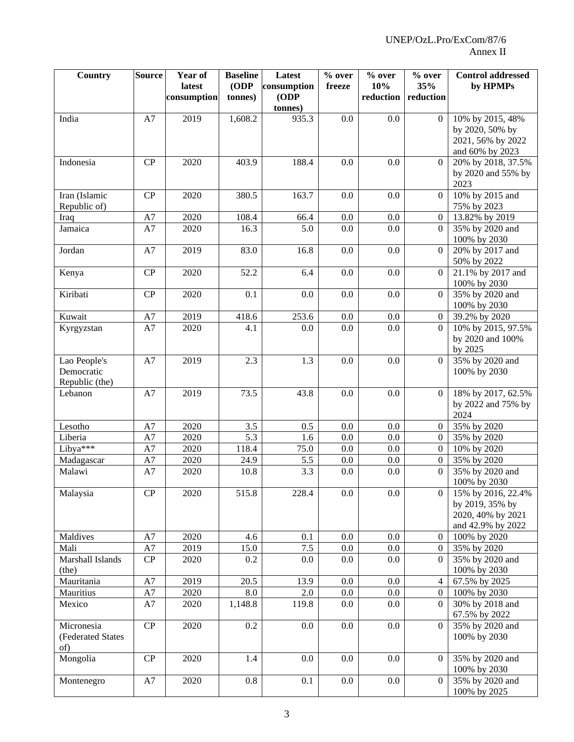| Country                                      | <b>Source</b> | Year of<br>latest | <b>Baseline</b><br>(ODP | Latest<br>consumption | $%$ over<br>freeze | % over<br>10% | % over<br>35%    | <b>Control addressed</b><br>by HPMPs                                            |
|----------------------------------------------|---------------|-------------------|-------------------------|-----------------------|--------------------|---------------|------------------|---------------------------------------------------------------------------------|
|                                              |               | consumption       | tonnes)                 | (ODP                  |                    | reduction     | reduction        |                                                                                 |
| India                                        | A7            | 2019              | 1,608.2                 | tonnes)<br>935.3      | 0.0                | 0.0           | $\Omega$         | 10% by 2015, 48%                                                                |
|                                              |               |                   |                         |                       |                    |               |                  | by 2020, 50% by<br>2021, 56% by 2022<br>and 60% by 2023                         |
| Indonesia                                    | CP            | 2020              | 403.9                   | 188.4                 | 0.0                | 0.0           | $\overline{0}$   | 20% by 2018, 37.5%<br>by 2020 and 55% by<br>2023                                |
| Iran (Islamic<br>Republic of)                | CP            | 2020              | 380.5                   | 163.7                 | 0.0                | 0.0           | $\overline{0}$   | 10% by 2015 and<br>75% by 2023                                                  |
| Iraq                                         | A7            | 2020              | 108.4                   | 66.4                  | 0.0                | 0.0           | $\overline{0}$   | 13.82% by 2019                                                                  |
| Jamaica                                      | A7            | 2020              | 16.3                    | 5.0                   | 0.0                | 0.0           | $\Omega$         | 35% by 2020 and<br>100% by 2030                                                 |
| Jordan                                       | A7            | 2019              | 83.0                    | 16.8                  | 0.0                | 0.0           | $\overline{0}$   | 20% by 2017 and<br>50% by 2022                                                  |
| Kenya                                        | CP            | 2020              | 52.2                    | 6.4                   | 0.0                | 0.0           | $\overline{0}$   | 21.1% by 2017 and<br>100% by 2030                                               |
| Kiribati                                     | CP            | 2020              | 0.1                     | 0.0                   | 0.0                | 0.0           | $\Omega$         | 35% by 2020 and<br>100% by 2030                                                 |
| Kuwait                                       | A7            | 2019              | 418.6                   | 253.6                 | 0.0                | $0.0\,$       | $\mathbf{0}$     | 39.2% by 2020                                                                   |
| Kyrgyzstan                                   | A7            | 2020              | 4.1                     | 0.0                   | 0.0                | 0.0           | $\Omega$         | 10% by 2015, 97.5%<br>by 2020 and 100%<br>by 2025                               |
| Lao People's<br>Democratic<br>Republic (the) | A7            | 2019              | 2.3                     | 1.3                   | 0.0                | 0.0           | $\overline{0}$   | 35% by 2020 and<br>100% by 2030                                                 |
| Lebanon                                      | A7            | 2019              | 73.5                    | 43.8                  | 0.0                | 0.0           | $\overline{0}$   | 18% by 2017, 62.5%<br>by 2022 and 75% by<br>2024                                |
| Lesotho                                      | A7            | 2020              | 3.5                     | 0.5                   | 0.0                | 0.0           | $\mathbf{0}$     | 35% by 2020                                                                     |
| Liberia                                      | A7            | 2020              | 5.3                     | 1.6                   | 0.0                | 0.0           | $\mathbf{0}$     | 35% by 2020                                                                     |
| Libya <sup>***</sup>                         | A7            | 2020              | 118.4                   | 75.0                  | 0.0                | 0.0           | $\boldsymbol{0}$ | 10% by 2020                                                                     |
| Madagascar                                   | A7            | 2020              | 24.9                    | 5.5                   | 0.0                | 0.0           | $\boldsymbol{0}$ | 35% by 2020                                                                     |
| Malawi                                       | A7            | 2020              | 10.8                    | 3.3                   | 0.0                | $0.0\,$       | $\overline{0}$   | 35% by 2020 and<br>100% by 2030                                                 |
| Malaysia                                     | CP            | 2020              | 515.8                   | 228.4                 | $0.0\,$            | 0.0           | $\theta$         | 15% by 2016, 22.4%<br>by 2019, 35% by<br>2020, 40% by 2021<br>and 42.9% by 2022 |
| Maldives                                     | A7            | 2020              | 4.6                     | 0.1                   | $0.0\,$            | $0.0\,$       | $\theta$         | 100% by 2020                                                                    |
| Mali                                         | A7            | 2019              | 15.0                    | 7.5                   | 0.0                | $0.0\,$       | $\overline{0}$   | 35% by 2020                                                                     |
| Marshall Islands<br>(the)                    | CP            | 2020              | 0.2                     | $0.0\,$               | 0.0                | 0.0           | $\overline{0}$   | 35% by 2020 and<br>100% by 2030                                                 |
| Mauritania                                   | A7            | 2019              | 20.5                    | 13.9                  | $0.0\,$            | $0.0\,$       | 4                | 67.5% by 2025                                                                   |
| Mauritius                                    | A7            | 2020              | 8.0                     | 2.0                   | 0.0                | $0.0\,$       | $\overline{0}$   | 100% by 2030                                                                    |
| Mexico                                       | A7            | 2020              | 1,148.8                 | 119.8                 | 0.0                | $0.0\,$       | 0                | 30% by 2018 and<br>67.5% by 2022                                                |
| Micronesia<br>(Federated States<br>of)       | CP            | 2020              | 0.2                     | 0.0                   | 0.0                | 0.0           | $\overline{0}$   | 35% by 2020 and<br>100% by 2030                                                 |
| Mongolia                                     | ${\bf CP}$    | 2020              | 1.4                     | $0.0\,$               | 0.0                | 0.0           | $\overline{0}$   | 35% by 2020 and<br>100% by 2030                                                 |
| Montenegro                                   | A7            | 2020              | 0.8                     | 0.1                   | 0.0                | 0.0           | $\overline{0}$   | 35% by 2020 and<br>100% by 2025                                                 |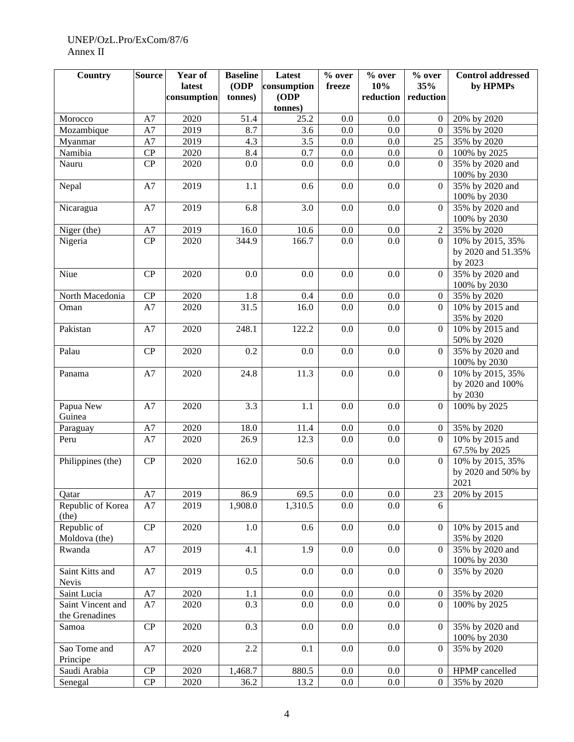#### UNEP/OzL.Pro/ExCom/87/6 Annex II

| <b>Country</b>                      | <b>Source</b>          | Year of     | <b>Baseline</b> | Latest      | % over  | $\overline{\frac{6}{}}$ over | $%$ over         | <b>Control addressed</b>                        |
|-------------------------------------|------------------------|-------------|-----------------|-------------|---------|------------------------------|------------------|-------------------------------------------------|
|                                     |                        | latest      | (ODP            | consumption | freeze  | 10%                          | 35%              | by HPMPs                                        |
|                                     |                        | consumption | tonnes)         | ODP         |         | reduction                    | reduction        |                                                 |
|                                     |                        |             |                 | tonnes)     |         |                              |                  |                                                 |
| Morocco                             | A7                     | 2020        | 51.4            | 25.2        | $0.0\,$ | 0.0                          | $\Omega$         | 20% by 2020                                     |
| Mozambique                          | A7                     | 2019        | 8.7             | 3.6         | 0.0     | 0.0                          | $\Omega$         | 35% by 2020                                     |
| Myanmar                             | A7                     | 2019        | 4.3             | 3.5         | 0.0     | 0.0                          | 25               | 35% by 2020                                     |
| Namibia                             | CP                     | 2020        | 8.4             | 0.7         | 0.0     | 0.0                          | $\Omega$         | 100% by 2025                                    |
| Nauru                               | CP                     | 2020        | 0.0             | 0.0         | 0.0     | 0.0                          | $\Omega$         | 35% by 2020 and<br>100% by 2030                 |
| Nepal                               | $\rm A7$               | 2019        | 1.1             | 0.6         | 0.0     | 0.0                          | $\Omega$         | 35% by 2020 and<br>100% by 2030                 |
| Nicaragua                           | ${\rm A}7$             | 2019        | 6.8             | 3.0         | 0.0     | 0.0                          | $\Omega$         | 35% by 2020 and<br>100% by 2030                 |
| Niger (the)                         | A7                     | 2019        | 16.0            | 10.6        | $0.0\,$ | 0.0                          | $\overline{2}$   | 35% by 2020                                     |
| Nigeria                             | CP                     | 2020        | 344.9           | 166.7       | 0.0     | 0.0                          | $\Omega$         | 10% by 2015, 35%                                |
|                                     |                        |             |                 |             |         |                              |                  | by 2020 and 51.35%<br>by 2023                   |
| Niue                                | CP                     | 2020        | 0.0             | 0.0         | 0.0     | 0.0                          | $\Omega$         | 35% by 2020 and<br>100% by 2030                 |
| North Macedonia                     | CP                     | 2020        | 1.8             | 0.4         | 0.0     | 0.0                          | $\overline{0}$   | 35% by 2020                                     |
| Oman                                | A7                     | 2020        | 31.5            | 16.0        | 0.0     | 0.0                          | $\Omega$         | 10% by 2015 and<br>35% by 2020                  |
| Pakistan                            | A7                     | 2020        | 248.1           | 122.2       | 0.0     | 0.0                          | $\Omega$         | 10% by 2015 and<br>50% by 2020                  |
| Palau                               | CP                     | 2020        | 0.2             | 0.0         | 0.0     | 0.0                          | $\Omega$         | 35% by 2020 and<br>100% by 2030                 |
| Panama                              | A7                     | 2020        | 24.8            | 11.3        | 0.0     | 0.0                          | $\Omega$         | 10% by 2015, 35%<br>by 2020 and 100%<br>by 2030 |
| Papua New<br>Guinea                 | A7                     | 2020        | 3.3             | 1.1         | $0.0\,$ | 0.0                          | $\Omega$         | 100% by 2025                                    |
| Paraguay                            | A7                     | 2020        | 18.0            | 11.4        | $0.0\,$ | 0.0                          | $\overline{0}$   | 35% by 2020                                     |
| Peru                                | A7                     | 2020        | 26.9            | 12.3        | 0.0     | 0.0                          | $\Omega$         | 10% by 2015 and<br>67.5% by 2025                |
| Philippines (the)                   | $\mathbf{C}\mathbf{P}$ | 2020        | 162.0           | 50.6        | $0.0\,$ | 0.0                          | $\overline{0}$   | 10% by 2015, 35%<br>by 2020 and 50% by<br>2021  |
| Qatar                               | A7                     | 2019        | 86.9            | 69.5        | $0.0\,$ | $0.0\,$                      | 23               | 20% by 2015                                     |
| Republic of Korea<br>(the)          | A7                     | 2019        | 1,908.0         | 1,310.5     | 0.0     | 0.0                          | 6                |                                                 |
| Republic of<br>Moldova (the)        | CP                     | 2020        | 1.0             | 0.6         | $0.0\,$ | 0.0                          | $\mathbf{0}$     | 10% by 2015 and<br>35% by 2020                  |
| Rwanda                              | A7                     | 2019        | 4.1             | 1.9         | 0.0     | 0.0                          | $\mathbf{0}$     | 35% by 2020 and<br>100% by 2030                 |
| Saint Kitts and<br>Nevis            | A7                     | 2019        | 0.5             | 0.0         | 0.0     | 0.0                          | $\theta$         | 35% by 2020                                     |
| Saint Lucia                         | A7                     | 2020        | 1.1             | $0.0\,$     | $0.0\,$ | 0.0                          | $\overline{0}$   | 35% by 2020                                     |
| Saint Vincent and<br>the Grenadines | A7                     | 2020        | 0.3             | 0.0         | 0.0     | 0.0                          | $\overline{0}$   | 100% by 2025                                    |
| Samoa                               | CP                     | 2020        | 0.3             | 0.0         | 0.0     | 0.0                          | $\Omega$         | 35% by 2020 and<br>100% by 2030                 |
| Sao Tome and<br>Principe            | A7                     | 2020        | 2.2             | 0.1         | $0.0\,$ | 0.0                          | $\theta$         | 35% by 2020                                     |
| Saudi Arabia                        | ${\bf CP}$             | 2020        | 1,468.7         | 880.5       | $0.0\,$ | 0.0                          | $\theta$         | HPMP cancelled                                  |
| Senegal                             | ${\bf CP}$             | 2020        | 36.2            | 13.2        | $0.0\,$ | 0.0                          | $\boldsymbol{0}$ | 35% by 2020                                     |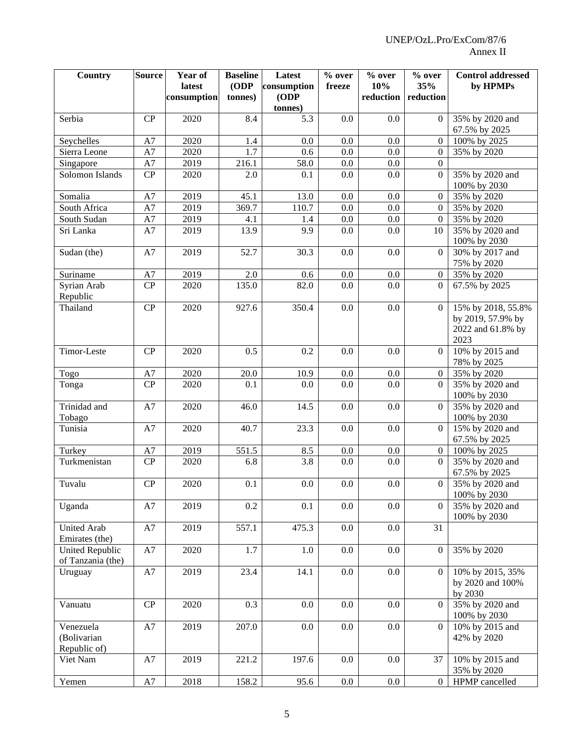| <b>Country</b>                              | <b>Source</b> | Year of<br>latest | <b>Baseline</b><br>(ODP) | Latest<br>consumption | % over<br>freeze | % over<br>10% | $%$ over<br>35%  | <b>Control addressed</b><br>by HPMPs                                 |
|---------------------------------------------|---------------|-------------------|--------------------------|-----------------------|------------------|---------------|------------------|----------------------------------------------------------------------|
|                                             |               | consumption       | tonnes)                  | (ODP                  |                  | reduction     | reduction        |                                                                      |
|                                             |               |                   |                          | tonnes)               |                  |               |                  |                                                                      |
| Serbia                                      | CP            | 2020              | 8.4                      | 5.3                   | 0.0              | 0.0           | $\Omega$         | 35% by 2020 and                                                      |
|                                             |               |                   |                          |                       |                  |               |                  | 67.5% by 2025                                                        |
| Seychelles                                  | A7            | 2020              | 1.4                      | 0.0                   | 0.0              | 0.0           | $\overline{0}$   | 100% by 2025                                                         |
| Sierra Leone                                | A7            | 2020              | 1.7                      | 0.6                   | 0.0              | 0.0           | $\overline{0}$   | 35% by 2020                                                          |
| Singapore                                   | A7            | 2019              | 216.1                    | 58.0                  | 0.0              | 0.0           | $\overline{0}$   |                                                                      |
| Solomon Islands                             | CP            | 2020              | 2.0                      | 0.1                   | 0.0              | 0.0           | $\overline{0}$   | 35% by 2020 and<br>100% by 2030                                      |
| Somalia                                     | A7            | 2019              | 45.1                     | 13.0                  | 0.0              | 0.0           | $\mathbf{0}$     | 35% by 2020                                                          |
| South Africa                                | A7            | 2019              | 369.7                    | 110.7                 | 0.0              | 0.0           | $\boldsymbol{0}$ | 35% by 2020                                                          |
| South Sudan                                 | A7            | 2019              | 4.1                      | 1.4                   | $0.0\,$          | $0.0\,$       | $\boldsymbol{0}$ | 35% by 2020                                                          |
| Sri Lanka                                   | A7            | 2019              | 13.9                     | 9.9                   | 0.0              | 0.0           | 10               | 35% by 2020 and<br>100% by 2030                                      |
| Sudan (the)                                 | A7            | 2019              | 52.7                     | 30.3                  | 0.0              | 0.0           | $\boldsymbol{0}$ | 30% by 2017 and<br>75% by 2020                                       |
| Suriname                                    | A7            | 2019              | 2.0                      | 0.6                   | $0.0\,$          | 0.0           | $\overline{0}$   | 35% by 2020                                                          |
| Syrian Arab                                 | CP            | 2020              | 135.0                    | 82.0                  | 0.0              | 0.0           | $\overline{0}$   | 67.5% by 2025                                                        |
| Republic<br>Thailand                        | CP            | 2020              | 927.6                    | 350.4                 | 0.0              | 0.0           | $\overline{0}$   | 15% by 2018, 55.8%<br>by 2019, 57.9% by<br>2022 and 61.8% by<br>2023 |
| Timor-Leste                                 | CP            | 2020              | 0.5                      | 0.2                   | 0.0              | 0.0           | $\Omega$         | 10% by 2015 and<br>78% by 2025                                       |
| Togo                                        | A7            | 2020              | 20.0                     | 10.9                  | 0.0              | 0.0           | $\overline{0}$   | 35% by 2020                                                          |
| Tonga                                       | CP            | 2020              | 0.1                      | 0.0                   | 0.0              | 0.0           | $\Omega$         | 35% by 2020 and<br>100% by 2030                                      |
| Trinidad and<br>Tobago                      | A7            | 2020              | 46.0                     | 14.5                  | 0.0              | 0.0           | $\Omega$         | 35% by 2020 and<br>100% by 2030                                      |
| Tunisia                                     | A7            | 2020              | 40.7                     | 23.3                  | 0.0              | 0.0           | $\Omega$         | 15% by 2020 and<br>67.5% by 2025                                     |
| Turkey                                      | A7            | 2019              | 551.5                    | 8.5                   | 0.0              | 0.0           | $\overline{0}$   | 100% by 2025                                                         |
| Turkmenistan                                | CP            | 2020              | 6.8                      | 3.8                   | 0.0              | 0.0           | $\Omega$         | 35% by 2020 and<br>67.5% by 2025                                     |
| Tuvalu                                      | CP            | 2020              | 0.1                      | $0.0\,$               | 0.0              | 0.0           | $\overline{0}$   | 35% by 2020 and<br>100% by 2030                                      |
| Uganda                                      | A7            | 2019              | 0.2                      | 0.1                   | 0.0              | 0.0           | $\Omega$         | 35% by 2020 and<br>100% by 2030                                      |
| <b>United Arab</b><br>Emirates (the)        | $\rm A7$      | 2019              | 557.1                    | 475.3                 | 0.0              | 0.0           | 31               |                                                                      |
| <b>United Republic</b><br>of Tanzania (the) | $\rm A7$      | 2020              | 1.7                      | 1.0                   | 0.0              | 0.0           | $\mathbf{0}$     | 35% by 2020                                                          |
| Uruguay                                     | ${\rm A}7$    | 2019              | 23.4                     | 14.1                  | $0.0\,$          | $0.0\,$       | $\overline{0}$   | 10% by 2015, 35%<br>by 2020 and 100%<br>by 2030                      |
| Vanuatu                                     | CP            | 2020              | 0.3                      | 0.0                   | 0.0              | 0.0           | $\overline{0}$   | 35% by 2020 and<br>100% by 2030                                      |
| Venezuela<br>(Bolivarian<br>Republic of)    | A7            | 2019              | 207.0                    | 0.0                   | 0.0              | 0.0           | $\overline{0}$   | 10% by 2015 and<br>42% by 2020                                       |
| Viet Nam                                    | $\rm A7$      | 2019              | 221.2                    | 197.6                 | 0.0              | 0.0           | 37               | 10% by 2015 and<br>35% by 2020                                       |
| Yemen                                       | $\rm A7$      | 2018              | 158.2                    | 95.6                  | 0.0              | $0.0\,$       | $\overline{0}$   | HPMP cancelled                                                       |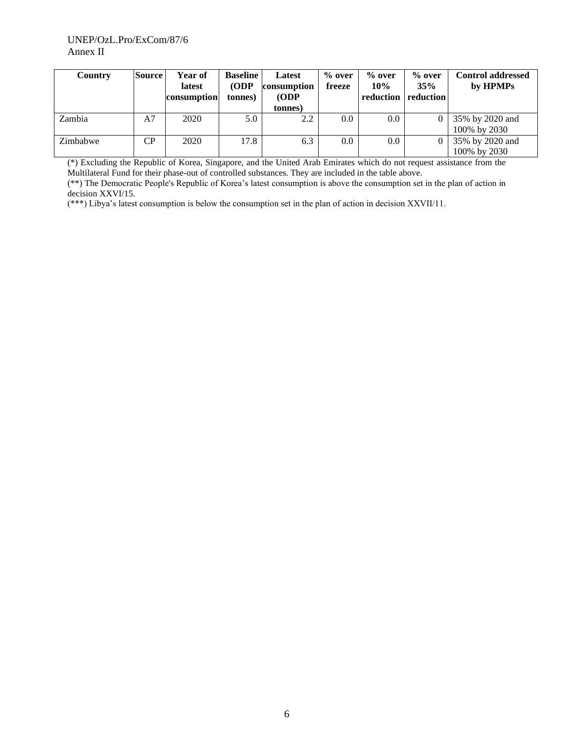| Country  | <b>Source</b>  | Year of<br>latest<br>consumption | <b>Baseline</b><br>ODP<br>tonnes) | Latest<br>consumption<br>(ODP)<br>(tonnes) | $%$ over<br>freeze | $%$ over<br>10%<br>reduction | $%$ over<br>35%<br>reduction | <b>Control addressed</b><br>by HPMPs |
|----------|----------------|----------------------------------|-----------------------------------|--------------------------------------------|--------------------|------------------------------|------------------------------|--------------------------------------|
| Zambia   | A <sub>7</sub> | 2020                             | 5.0                               | 2.2                                        | $0.0\,$            | 0.0                          | $\Omega$                     | 35% by 2020 and<br>100% by 2030      |
| Zimbabwe | CP             | 2020                             | 17.8                              | 6.3                                        | $0.0\,$            | 0.0                          | $\Omega$                     | 35% by 2020 and<br>100% by 2030      |

(\*) Excluding the Republic of Korea, Singapore, and the United Arab Emirates which do not request assistance from the Multilateral Fund for their phase-out of controlled substances. They are included in the table above.

(\*\*) The Democratic People's Republic of Korea's latest consumption is above the consumption set in the plan of action in decision XXVI/15.

(\*\*\*) Libya's latest consumption is below the consumption set in the plan of action in decision XXVII/11.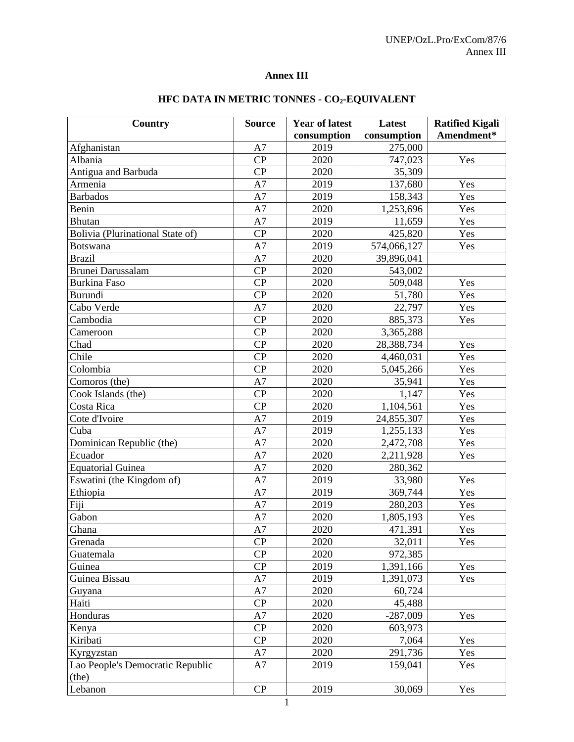# **Annex III**

| <b>Country</b>                   | <b>Source</b> | <b>Year of latest</b> | Latest      | <b>Ratified Kigali</b> |
|----------------------------------|---------------|-----------------------|-------------|------------------------|
|                                  |               | consumption           | consumption | Amendment*             |
| Afghanistan                      | A7            | 2019                  | 275,000     |                        |
| Albania                          | CP            | 2020                  | 747,023     | Yes                    |
| Antigua and Barbuda              | CP            | 2020                  | 35,309      |                        |
| Armenia                          | A7            | 2019                  | 137,680     | Yes                    |
| <b>Barbados</b>                  | A7            | 2019                  | 158,343     | Yes                    |
| Benin                            | A7            | 2020                  | 1,253,696   | Yes                    |
| Bhutan                           | A7            | 2019                  | 11,659      | Yes                    |
| Bolivia (Plurinational State of) | CP            | 2020                  | 425,820     | Yes                    |
| <b>Botswana</b>                  | A7            | 2019                  | 574,066,127 | Yes                    |
| <b>Brazil</b>                    | A7            | 2020                  | 39,896,041  |                        |
| <b>Brunei Darussalam</b>         | CP            | 2020                  | 543,002     |                        |
| <b>Burkina Faso</b>              | CP            | 2020                  | 509,048     | Yes                    |
| Burundi                          | CP            | 2020                  | 51,780      | Yes                    |
| Cabo Verde                       | A7            | 2020                  | 22,797      | Yes                    |
| Cambodia                         | CP            | 2020                  | 885,373     | Yes                    |
| Cameroon                         | CP            | 2020                  | 3,365,288   |                        |
| Chad                             | CP            | 2020                  | 28,388,734  | Yes                    |
| Chile                            | CP            | 2020                  | 4,460,031   | Yes                    |
| Colombia                         | CP            | 2020                  | 5,045,266   | Yes                    |
| Comoros (the)                    | A7            | 2020                  | 35,941      | Yes                    |
| Cook Islands (the)               | CP            | 2020                  | 1,147       | Yes                    |
| Costa Rica                       | CP            | 2020                  | 1,104,561   | Yes                    |
| Cote d'Ivoire                    | A7            | 2019                  | 24,855,307  | Yes                    |
| Cuba                             | A7            | 2019                  | 1,255,133   | Yes                    |
| Dominican Republic (the)         | A7            | 2020                  | 2,472,708   | Yes                    |
| Ecuador                          | A7            | 2020                  | 2,211,928   | Yes                    |
| <b>Equatorial Guinea</b>         | A7            | 2020                  | 280,362     |                        |
| Eswatini (the Kingdom of)        | A7            | 2019                  | 33,980      | Yes                    |
| Ethiopia                         | A7            | 2019                  | 369,744     | Yes                    |
| Fiji                             | A7            | 2019                  | 280,203     | Yes                    |
| Gabon                            | A7            | 2020                  | 1,805,193   | Yes                    |
| Ghana                            | A7            | 2020                  | 471,391     | Yes                    |
| Grenada                          | CP            | 2020                  | 32,011      | Yes                    |
| Guatemala                        | CP            | 2020                  | 972,385     |                        |
| Guinea                           | CP            | 2019                  | 1,391,166   | Yes                    |
| Guinea Bissau                    | A7            | 2019                  | 1,391,073   | Yes                    |
| Guyana                           | A7            | 2020                  | 60,724      |                        |
| Haiti                            | CP            | 2020                  | 45,488      |                        |
| Honduras                         | A7            | 2020                  | $-287,009$  | Yes                    |
| Kenya                            | CP            | 2020                  | 603,973     |                        |
| Kiribati                         | CP            | 2020                  | 7,064       | Yes                    |
| Kyrgyzstan                       | A7            | 2020                  | 291,736     | Yes                    |
| Lao People's Democratic Republic | A7            | 2019                  | 159,041     | Yes                    |
| (the)                            |               |                       |             |                        |
| Lebanon                          | ${\bf CP}$    | 2019                  | 30,069      | Yes                    |

# **HFC DATA IN METRIC TONNES - CO2-EQUIVALENT**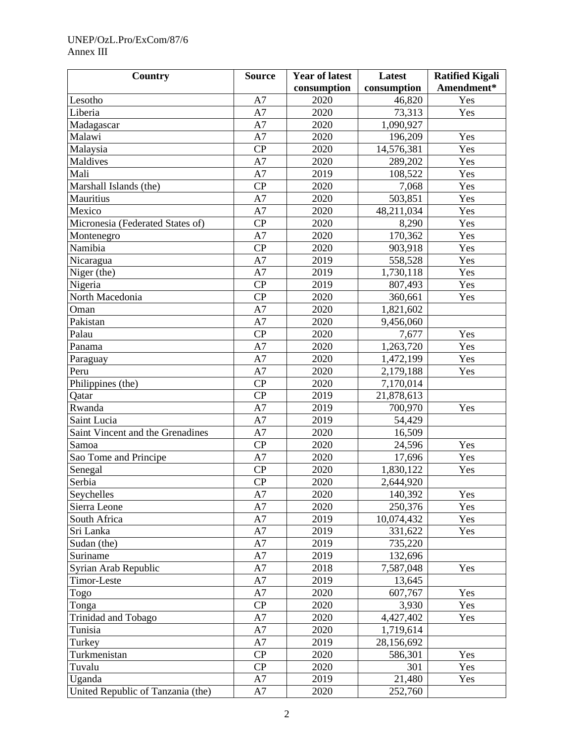## UNEP/OzL.Pro/ExCom/87/6 Annex III

| <b>Country</b>                    | <b>Source</b> | <b>Year of latest</b> | Latest      | <b>Ratified Kigali</b> |  |
|-----------------------------------|---------------|-----------------------|-------------|------------------------|--|
|                                   |               | consumption           | consumption | Amendment*             |  |
| Lesotho                           | A7            | 2020                  | 46,820      | Yes                    |  |
| Liberia                           | A7            | 2020                  | 73,313      | Yes                    |  |
| Madagascar                        | A7            | 2020                  | 1,090,927   |                        |  |
| Malawi                            | A7            | 2020                  | 196,209     | Yes                    |  |
| Malaysia                          | CP            | 2020                  | 14,576,381  | Yes                    |  |
| Maldives                          | A7            | 2020                  | 289,202     | Yes                    |  |
| Mali                              | A7            | 2019                  | 108,522     | Yes                    |  |
| Marshall Islands (the)            | CP            | 2020                  | 7,068       | Yes                    |  |
| Mauritius                         | A7            | 2020                  | 503,851     | Yes                    |  |
| Mexico                            | A7            | 2020                  | 48,211,034  | Yes                    |  |
| Micronesia (Federated States of)  | CP            | 2020                  | 8,290       | Yes                    |  |
| Montenegro                        | A7            | 2020                  | 170,362     | Yes                    |  |
| Namibia                           | CP            | 2020                  | 903,918     | Yes                    |  |
| Nicaragua                         | A7            | 2019                  | 558,528     | Yes                    |  |
| Niger (the)                       | A7            | 2019                  | 1,730,118   | Yes                    |  |
| Nigeria                           | CP            | 2019                  | 807,493     | Yes                    |  |
| North Macedonia                   | CP            | 2020                  | 360,661     | Yes                    |  |
| Oman                              | A7            | 2020                  | 1,821,602   |                        |  |
| Pakistan                          | A7            | 2020                  | 9,456,060   |                        |  |
| Palau                             | CP            | 2020                  | 7,677       | Yes                    |  |
| Panama                            | A7            | 2020                  | 1,263,720   | Yes                    |  |
| Paraguay                          | A7            | 2020                  | 1,472,199   | Yes                    |  |
| Peru                              | A7            | 2020                  | 2,179,188   | Yes                    |  |
| Philippines (the)                 | CP            | 2020                  | 7,170,014   |                        |  |
| Qatar                             | CP            | 2019                  | 21,878,613  |                        |  |
| Rwanda                            | A7            | 2019                  | 700,970     | Yes                    |  |
| Saint Lucia                       | A7            | 2019                  | 54,429      |                        |  |
| Saint Vincent and the Grenadines  | A7            | 2020                  | 16,509      |                        |  |
| Samoa                             | CP            | 2020                  | 24,596      | Yes                    |  |
| Sao Tome and Principe             | A7            | 2020                  | 17,696      | Yes                    |  |
| Senegal                           | CP            | 2020                  | 1,830,122   | Yes                    |  |
| Serbia                            | CP            | 2020                  | 2,644,920   |                        |  |
| Seychelles                        | A7            | 2020                  | 140,392     | Yes                    |  |
| Sierra Leone                      | A7            | 2020                  | 250,376     | Yes                    |  |
| South Africa                      | A7            | 2019                  | 10,074,432  | Yes                    |  |
| Sri Lanka                         | A7            | 2019                  | 331,622     | Yes                    |  |
| Sudan (the)                       | A7            | 2019                  | 735,220     |                        |  |
| Suriname                          | A7            | 2019                  | 132,696     |                        |  |
| Syrian Arab Republic              | A7            | 2018                  | 7,587,048   | Yes                    |  |
| Timor-Leste                       | A7            | 2019                  | 13,645      |                        |  |
| Togo                              | A7            | 2020                  | 607,767     | Yes                    |  |
| Tonga                             | CP            | 2020                  | 3,930       | Yes                    |  |
| Trinidad and Tobago               | A7            | 2020                  | 4,427,402   | Yes                    |  |
| Tunisia                           | A7            | 2020                  | 1,719,614   |                        |  |
| Turkey                            | A7            | 2019                  | 28,156,692  |                        |  |
| Turkmenistan                      | CP            | 2020                  | 586,301     | Yes                    |  |
| Tuvalu                            | CP            | 2020                  | 301         | Yes                    |  |
| Uganda                            | A7            | 2019                  | 21,480      | Yes                    |  |
| United Republic of Tanzania (the) | A7            | 2020                  | 252,760     |                        |  |